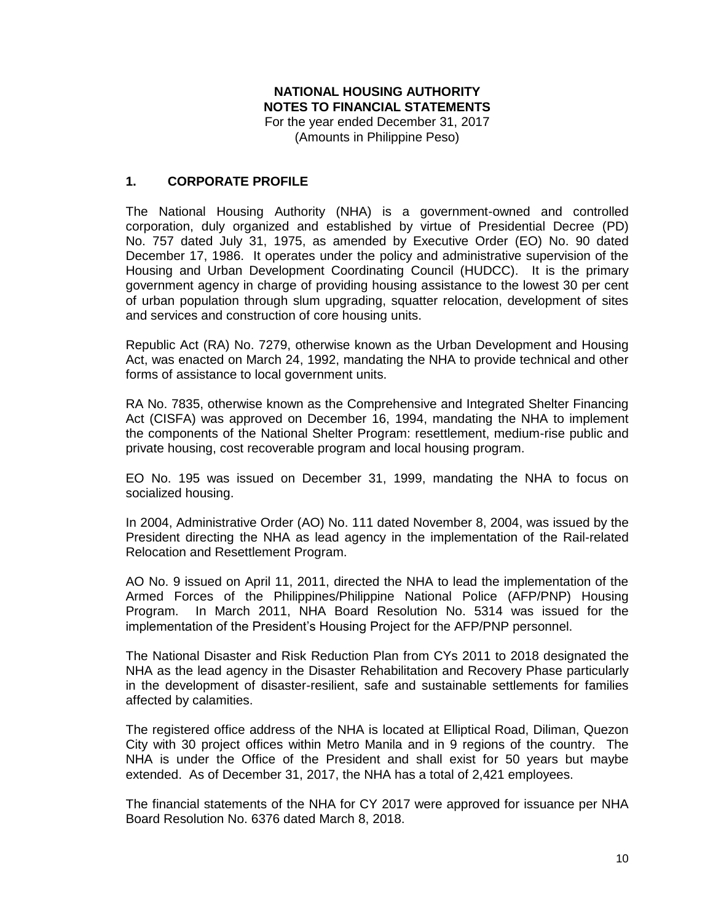# **NATIONAL HOUSING AUTHORITY NOTES TO FINANCIAL STATEMENTS**

For the year ended December 31, 2017 (Amounts in Philippine Peso)

## **1. CORPORATE PROFILE**

The National Housing Authority (NHA) is a government-owned and controlled corporation, duly organized and established by virtue of Presidential Decree (PD) No. 757 dated July 31, 1975, as amended by Executive Order (EO) No. 90 dated December 17, 1986. It operates under the policy and administrative supervision of the Housing and Urban Development Coordinating Council (HUDCC). It is the primary government agency in charge of providing housing assistance to the lowest 30 per cent of urban population through slum upgrading, squatter relocation, development of sites and services and construction of core housing units.

Republic Act (RA) No. 7279, otherwise known as the Urban Development and Housing Act, was enacted on March 24, 1992, mandating the NHA to provide technical and other forms of assistance to local government units.

RA No. 7835, otherwise known as the Comprehensive and Integrated Shelter Financing Act (CISFA) was approved on December 16, 1994, mandating the NHA to implement the components of the National Shelter Program: resettlement, medium-rise public and private housing, cost recoverable program and local housing program.

EO No. 195 was issued on December 31, 1999, mandating the NHA to focus on socialized housing.

In 2004, Administrative Order (AO) No. 111 dated November 8, 2004, was issued by the President directing the NHA as lead agency in the implementation of the Rail-related Relocation and Resettlement Program.

AO No. 9 issued on April 11, 2011, directed the NHA to lead the implementation of the Armed Forces of the Philippines/Philippine National Police (AFP/PNP) Housing Program. In March 2011, NHA Board Resolution No. 5314 was issued for the implementation of the President's Housing Project for the AFP/PNP personnel.

The National Disaster and Risk Reduction Plan from CYs 2011 to 2018 designated the NHA as the lead agency in the Disaster Rehabilitation and Recovery Phase particularly in the development of disaster-resilient, safe and sustainable settlements for families affected by calamities.

The registered office address of the NHA is located at Elliptical Road, Diliman, Quezon City with 30 project offices within Metro Manila and in 9 regions of the country. The NHA is under the Office of the President and shall exist for 50 years but maybe extended. As of December 31, 2017, the NHA has a total of 2,421 employees.

The financial statements of the NHA for CY 2017 were approved for issuance per NHA Board Resolution No. 6376 dated March 8, 2018.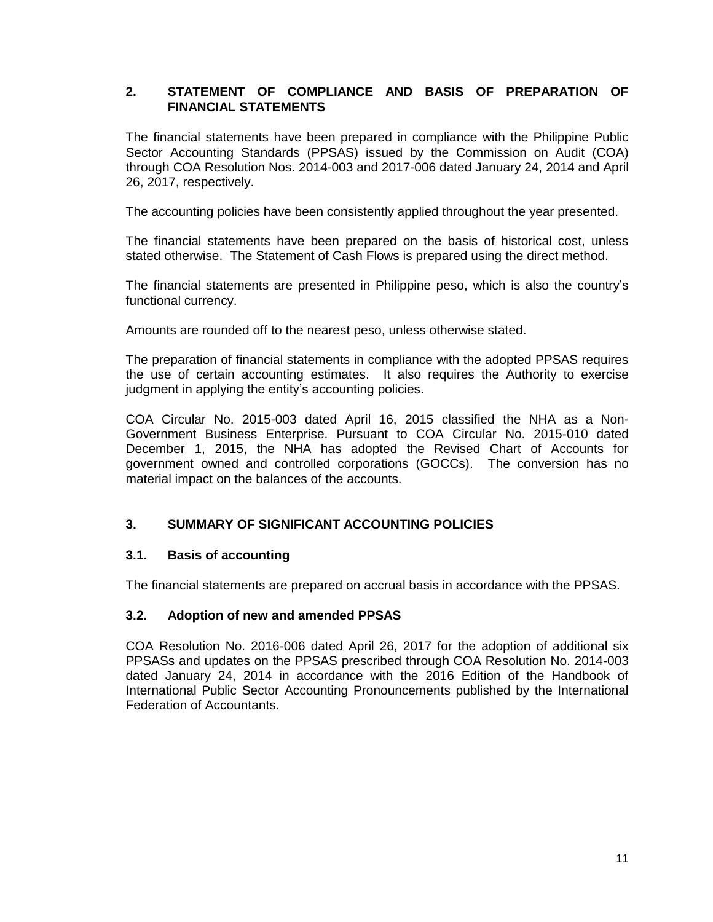# **2. STATEMENT OF COMPLIANCE AND BASIS OF PREPARATION OF FINANCIAL STATEMENTS**

The financial statements have been prepared in compliance with the Philippine Public Sector Accounting Standards (PPSAS) issued by the Commission on Audit (COA) through COA Resolution Nos. 2014-003 and 2017-006 dated January 24, 2014 and April 26, 2017, respectively.

The accounting policies have been consistently applied throughout the year presented.

The financial statements have been prepared on the basis of historical cost, unless stated otherwise. The Statement of Cash Flows is prepared using the direct method.

The financial statements are presented in Philippine peso, which is also the country's functional currency.

Amounts are rounded off to the nearest peso, unless otherwise stated.

The preparation of financial statements in compliance with the adopted PPSAS requires the use of certain accounting estimates. It also requires the Authority to exercise judgment in applying the entity's accounting policies.

COA Circular No. 2015-003 dated April 16, 2015 classified the NHA as a Non-Government Business Enterprise. Pursuant to COA Circular No. 2015-010 dated December 1, 2015, the NHA has adopted the Revised Chart of Accounts for government owned and controlled corporations (GOCCs). The conversion has no material impact on the balances of the accounts.

### **3. SUMMARY OF SIGNIFICANT ACCOUNTING POLICIES**

### **3.1. Basis of accounting**

The financial statements are prepared on accrual basis in accordance with the PPSAS.

### **3.2. Adoption of new and amended PPSAS**

COA Resolution No. 2016-006 dated April 26, 2017 for the adoption of additional six PPSASs and updates on the PPSAS prescribed through COA Resolution No. 2014-003 dated January 24, 2014 in accordance with the 2016 Edition of the Handbook of International Public Sector Accounting Pronouncements published by the International Federation of Accountants.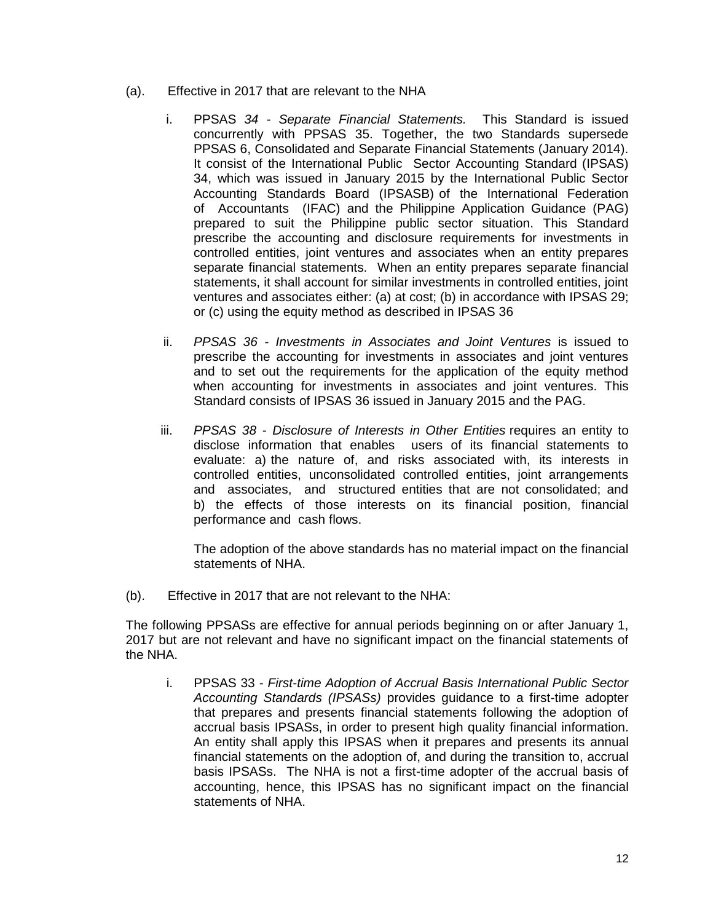- (a). Effective in 2017 that are relevant to the NHA
	- i. PPSAS *34 - Separate Financial Statements.* This Standard is issued concurrently with PPSAS 35. Together, the two Standards supersede PPSAS 6, Consolidated and Separate Financial Statements (January 2014). It consist of the International Public Sector Accounting Standard (IPSAS) 34, which was issued in January 2015 by the International Public Sector Accounting Standards Board (IPSASB) of the International Federation of Accountants (IFAC) and the Philippine Application Guidance (PAG) prepared to suit the Philippine public sector situation. This Standard prescribe the accounting and disclosure requirements for investments in controlled entities, joint ventures and associates when an entity prepares separate financial statements. When an entity prepares separate financial statements, it shall account for similar investments in controlled entities, joint ventures and associates either: (a) at cost; (b) in accordance with IPSAS 29; or (c) using the equity method as described in IPSAS 36
	- ii. *PPSAS 36 - Investments in Associates and Joint Ventures* is issued to prescribe the accounting for investments in associates and joint ventures and to set out the requirements for the application of the equity method when accounting for investments in associates and joint ventures. This Standard consists of IPSAS 36 issued in January 2015 and the PAG.
	- iii. *PPSAS 38 - Disclosure of Interests in Other Entities* requires an entity to disclose information that enables users of its financial statements to evaluate: a) the nature of, and risks associated with, its interests in controlled entities, unconsolidated controlled entities, joint arrangements and associates, and structured entities that are not consolidated; and b) the effects of those interests on its financial position, financial performance and cash flows.

The adoption of the above standards has no material impact on the financial statements of NHA.

(b). Effective in 2017 that are not relevant to the NHA:

The following PPSASs are effective for annual periods beginning on or after January 1, 2017 but are not relevant and have no significant impact on the financial statements of the NHA.

i. PPSAS 33 *- First-time Adoption of Accrual Basis International Public Sector Accounting Standards (IPSASs)* provides guidance to a first-time adopter that prepares and presents financial statements following the adoption of accrual basis IPSASs, in order to present high quality financial information. An entity shall apply this IPSAS when it prepares and presents its annual financial statements on the adoption of, and during the transition to, accrual basis IPSASs. The NHA is not a first-time adopter of the accrual basis of accounting, hence, this IPSAS has no significant impact on the financial statements of NHA.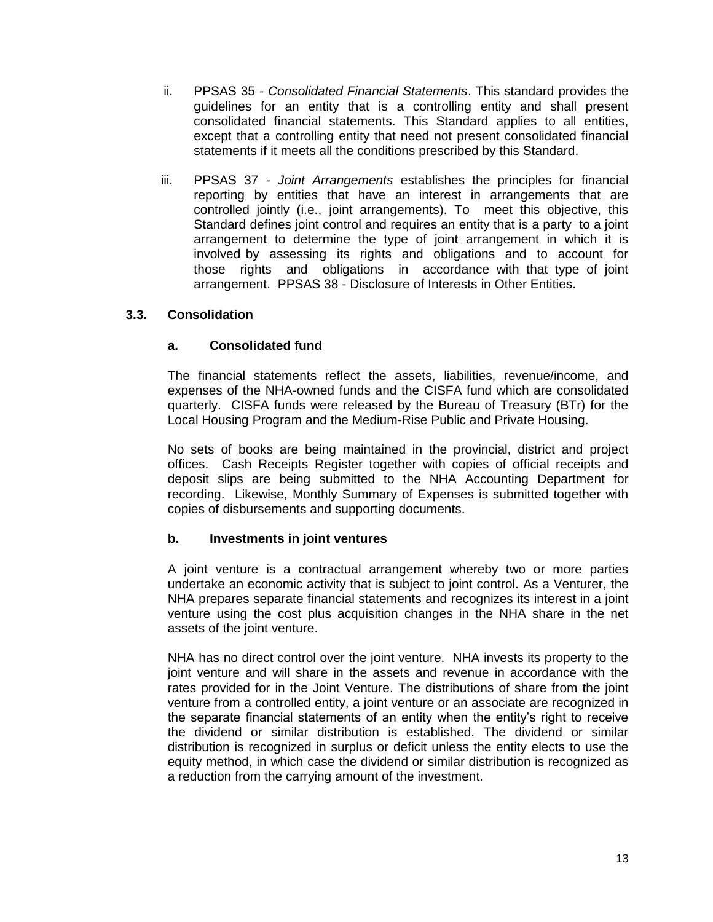- ii. PPSAS 35 *- Consolidated Financial Statements*. This standard provides the guidelines for an entity that is a controlling entity and shall present consolidated financial statements. This Standard applies to all entities, except that a controlling entity that need not present consolidated financial statements if it meets all the conditions prescribed by this Standard.
- iii. PPSAS 37 *- Joint Arrangements* establishes the principles for financial reporting by entities that have an interest in arrangements that are controlled jointly (i.e., joint arrangements). To meet this objective, this Standard defines joint control and requires an entity that is a party to a joint arrangement to determine the type of joint arrangement in which it is involved by assessing its rights and obligations and to account for those rights and obligations in accordance with that type of joint arrangement. PPSAS 38 - Disclosure of Interests in Other Entities.

### **3.3. Consolidation**

# **a. Consolidated fund**

The financial statements reflect the assets, liabilities, revenue/income, and expenses of the NHA-owned funds and the CISFA fund which are consolidated quarterly. CISFA funds were released by the Bureau of Treasury (BTr) for the Local Housing Program and the Medium-Rise Public and Private Housing.

No sets of books are being maintained in the provincial, district and project offices. Cash Receipts Register together with copies of official receipts and deposit slips are being submitted to the NHA Accounting Department for recording. Likewise, Monthly Summary of Expenses is submitted together with copies of disbursements and supporting documents.

### **b. Investments in joint ventures**

A joint venture is a contractual arrangement whereby two or more parties undertake an economic activity that is subject to joint control. As a Venturer, the NHA prepares separate financial statements and recognizes its interest in a joint venture using the cost plus acquisition changes in the NHA share in the net assets of the joint venture.

NHA has no direct control over the joint venture. NHA invests its property to the joint venture and will share in the assets and revenue in accordance with the rates provided for in the Joint Venture. The distributions of share from the joint venture from a controlled entity, a joint venture or an associate are recognized in the separate financial statements of an entity when the entity's right to receive the dividend or similar distribution is established. The dividend or similar distribution is recognized in surplus or deficit unless the entity elects to use the equity method, in which case the dividend or similar distribution is recognized as a reduction from the carrying amount of the investment.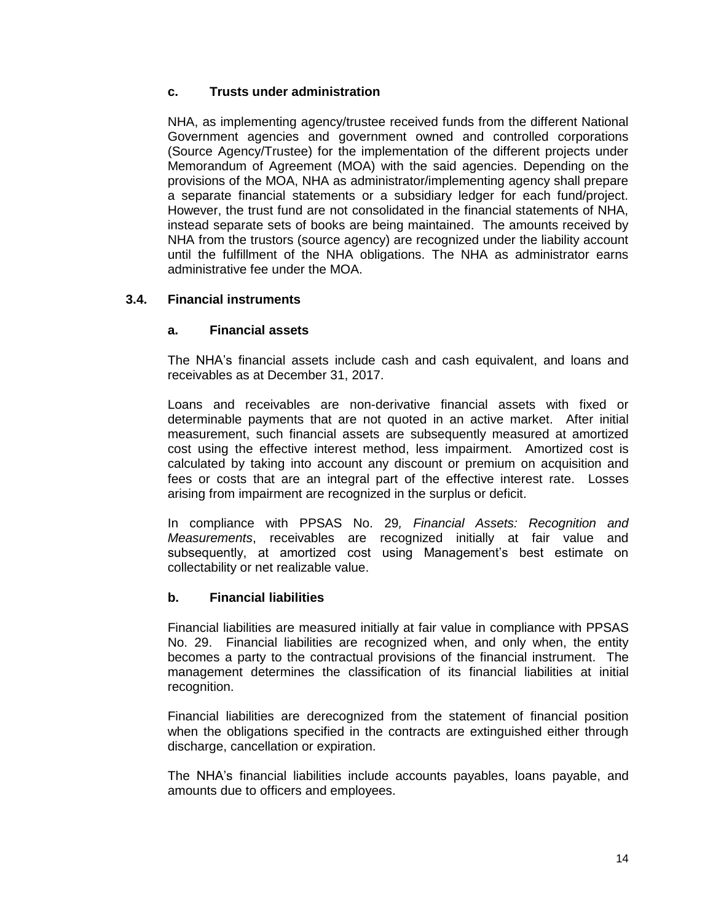## **c. Trusts under administration**

NHA, as implementing agency/trustee received funds from the different National Government agencies and government owned and controlled corporations (Source Agency/Trustee) for the implementation of the different projects under Memorandum of Agreement (MOA) with the said agencies. Depending on the provisions of the MOA, NHA as administrator/implementing agency shall prepare a separate financial statements or a subsidiary ledger for each fund/project. However, the trust fund are not consolidated in the financial statements of NHA, instead separate sets of books are being maintained. The amounts received by NHA from the trustors (source agency) are recognized under the liability account until the fulfillment of the NHA obligations. The NHA as administrator earns administrative fee under the MOA.

### **3.4. Financial instruments**

### **a. Financial assets**

The NHA's financial assets include cash and cash equivalent, and loans and receivables as at December 31, 2017.

Loans and receivables are non-derivative financial assets with fixed or determinable payments that are not quoted in an active market. After initial measurement, such financial assets are subsequently measured at amortized cost using the effective interest method, less impairment. Amortized cost is calculated by taking into account any discount or premium on acquisition and fees or costs that are an integral part of the effective interest rate. Losses arising from impairment are recognized in the surplus or deficit.

In compliance with PPSAS No. 29*, Financial Assets: Recognition and Measurements*, receivables are recognized initially at fair value and subsequently, at amortized cost using Management's best estimate on collectability or net realizable value.

### **b. Financial liabilities**

Financial liabilities are measured initially at fair value in compliance with PPSAS No. 29. Financial liabilities are recognized when, and only when, the entity becomes a party to the contractual provisions of the financial instrument. The management determines the classification of its financial liabilities at initial recognition.

Financial liabilities are derecognized from the statement of financial position when the obligations specified in the contracts are extinguished either through discharge, cancellation or expiration.

The NHA's financial liabilities include accounts payables, loans payable, and amounts due to officers and employees.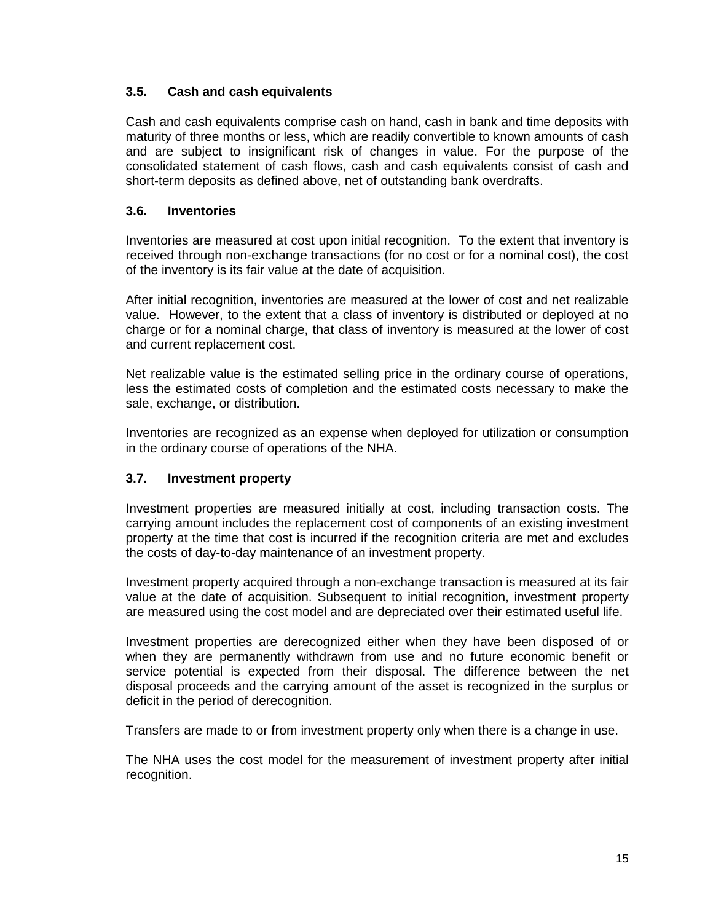# **3.5. Cash and cash equivalents**

Cash and cash equivalents comprise cash on hand, cash in bank and time deposits with maturity of three months or less, which are readily convertible to known amounts of cash and are subject to insignificant risk of changes in value. For the purpose of the consolidated statement of cash flows, cash and cash equivalents consist of cash and short-term deposits as defined above, net of outstanding bank overdrafts.

# **3.6. Inventories**

Inventories are measured at cost upon initial recognition. To the extent that inventory is received through non-exchange transactions (for no cost or for a nominal cost), the cost of the inventory is its fair value at the date of acquisition.

After initial recognition, inventories are measured at the lower of cost and net realizable value. However, to the extent that a class of inventory is distributed or deployed at no charge or for a nominal charge, that class of inventory is measured at the lower of cost and current replacement cost.

Net realizable value is the estimated selling price in the ordinary course of operations, less the estimated costs of completion and the estimated costs necessary to make the sale, exchange, or distribution.

Inventories are recognized as an expense when deployed for utilization or consumption in the ordinary course of operations of the NHA.

### **3.7. Investment property**

Investment properties are measured initially at cost, including transaction costs. The carrying amount includes the replacement cost of components of an existing investment property at the time that cost is incurred if the recognition criteria are met and excludes the costs of day-to-day maintenance of an investment property.

Investment property acquired through a non-exchange transaction is measured at its fair value at the date of acquisition. Subsequent to initial recognition, investment property are measured using the cost model and are depreciated over their estimated useful life.

Investment properties are derecognized either when they have been disposed of or when they are permanently withdrawn from use and no future economic benefit or service potential is expected from their disposal. The difference between the net disposal proceeds and the carrying amount of the asset is recognized in the surplus or deficit in the period of derecognition.

Transfers are made to or from investment property only when there is a change in use.

The NHA uses the cost model for the measurement of investment property after initial recognition.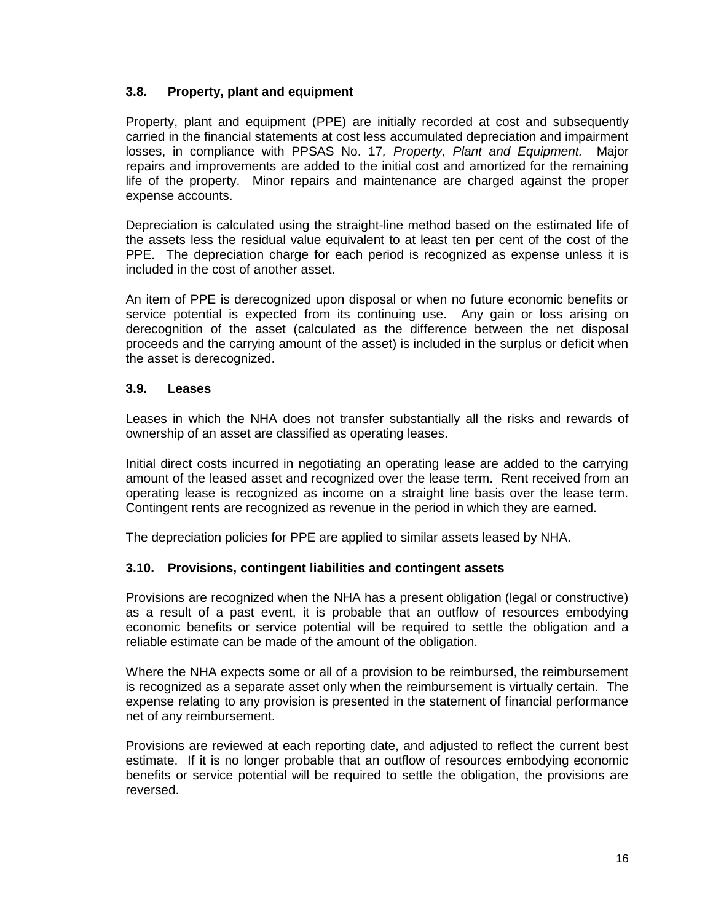# **3.8. Property, plant and equipment**

Property, plant and equipment (PPE) are initially recorded at cost and subsequently carried in the financial statements at cost less accumulated depreciation and impairment losses, in compliance with PPSAS No. 17*, Property, Plant and Equipment.* Major repairs and improvements are added to the initial cost and amortized for the remaining life of the property. Minor repairs and maintenance are charged against the proper expense accounts.

Depreciation is calculated using the straight-line method based on the estimated life of the assets less the residual value equivalent to at least ten per cent of the cost of the PPE. The depreciation charge for each period is recognized as expense unless it is included in the cost of another asset.

An item of PPE is derecognized upon disposal or when no future economic benefits or service potential is expected from its continuing use. Any gain or loss arising on derecognition of the asset (calculated as the difference between the net disposal proceeds and the carrying amount of the asset) is included in the surplus or deficit when the asset is derecognized.

### **3.9. Leases**

Leases in which the NHA does not transfer substantially all the risks and rewards of ownership of an asset are classified as operating leases.

Initial direct costs incurred in negotiating an operating lease are added to the carrying amount of the leased asset and recognized over the lease term. Rent received from an operating lease is recognized as income on a straight line basis over the lease term. Contingent rents are recognized as revenue in the period in which they are earned.

The depreciation policies for PPE are applied to similar assets leased by NHA.

### **3.10. Provisions, contingent liabilities and contingent assets**

Provisions are recognized when the NHA has a present obligation (legal or constructive) as a result of a past event, it is probable that an outflow of resources embodying economic benefits or service potential will be required to settle the obligation and a reliable estimate can be made of the amount of the obligation.

Where the NHA expects some or all of a provision to be reimbursed, the reimbursement is recognized as a separate asset only when the reimbursement is virtually certain. The expense relating to any provision is presented in the statement of financial performance net of any reimbursement.

Provisions are reviewed at each reporting date, and adjusted to reflect the current best estimate. If it is no longer probable that an outflow of resources embodying economic benefits or service potential will be required to settle the obligation, the provisions are reversed.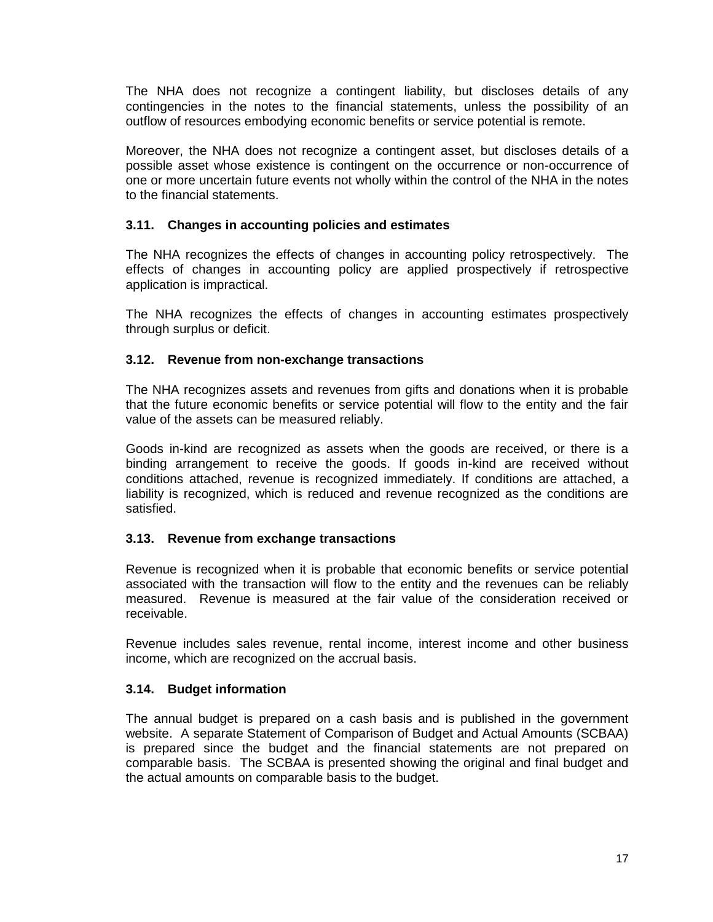The NHA does not recognize a contingent liability, but discloses details of any contingencies in the notes to the financial statements, unless the possibility of an outflow of resources embodying economic benefits or service potential is remote.

Moreover, the NHA does not recognize a contingent asset, but discloses details of a possible asset whose existence is contingent on the occurrence or non-occurrence of one or more uncertain future events not wholly within the control of the NHA in the notes to the financial statements.

## **3.11. Changes in accounting policies and estimates**

The NHA recognizes the effects of changes in accounting policy retrospectively. The effects of changes in accounting policy are applied prospectively if retrospective application is impractical.

The NHA recognizes the effects of changes in accounting estimates prospectively through surplus or deficit.

# **3.12. Revenue from non-exchange transactions**

The NHA recognizes assets and revenues from gifts and donations when it is probable that the future economic benefits or service potential will flow to the entity and the fair value of the assets can be measured reliably.

Goods in-kind are recognized as assets when the goods are received, or there is a binding arrangement to receive the goods. If goods in-kind are received without conditions attached, revenue is recognized immediately. If conditions are attached, a liability is recognized, which is reduced and revenue recognized as the conditions are satisfied.

### **3.13. Revenue from exchange transactions**

Revenue is recognized when it is probable that economic benefits or service potential associated with the transaction will flow to the entity and the revenues can be reliably measured. Revenue is measured at the fair value of the consideration received or receivable.

Revenue includes sales revenue, rental income, interest income and other business income, which are recognized on the accrual basis.

### **3.14. Budget information**

The annual budget is prepared on a cash basis and is published in the government website. A separate Statement of Comparison of Budget and Actual Amounts (SCBAA) is prepared since the budget and the financial statements are not prepared on comparable basis. The SCBAA is presented showing the original and final budget and the actual amounts on comparable basis to the budget.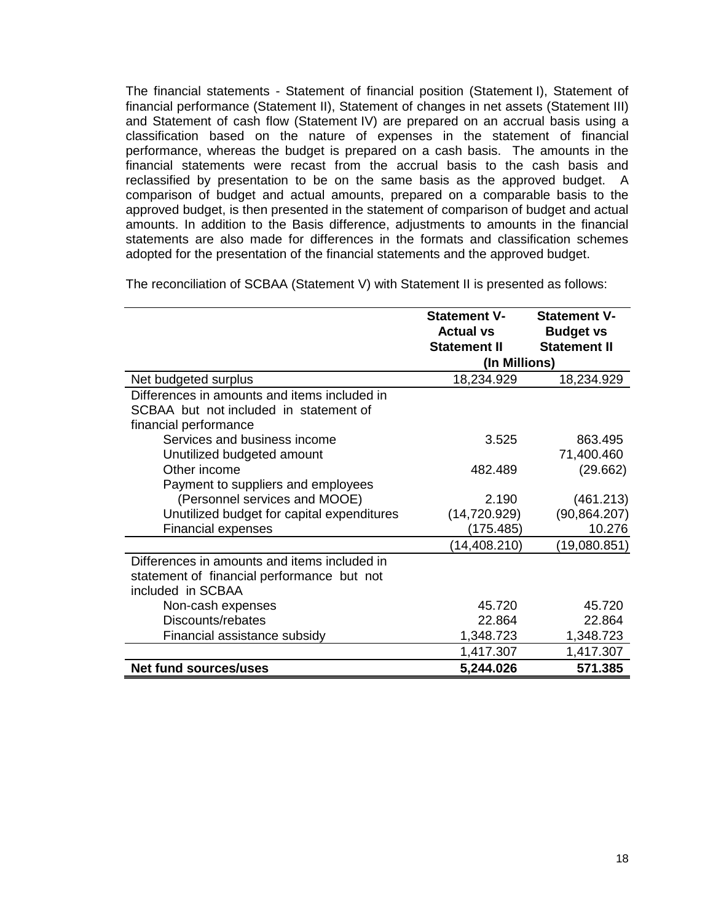The financial statements - Statement of financial position (Statement I), Statement of financial performance (Statement II), Statement of changes in net assets (Statement III) and Statement of cash flow (Statement IV) are prepared on an accrual basis using a classification based on the nature of expenses in the statement of financial performance, whereas the budget is prepared on a cash basis. The amounts in the financial statements were recast from the accrual basis to the cash basis and reclassified by presentation to be on the same basis as the approved budget. A comparison of budget and actual amounts, prepared on a comparable basis to the approved budget, is then presented in the statement of comparison of budget and actual amounts. In addition to the Basis difference, adjustments to amounts in the financial statements are also made for differences in the formats and classification schemes adopted for the presentation of the financial statements and the approved budget.

The reconciliation of SCBAA (Statement V) with Statement II is presented as follows:

|                                                                                                                 | <b>Statement V-</b><br><b>Actual vs</b><br><b>Statement II</b> | <b>Statement V-</b><br><b>Budget vs</b><br><b>Statement II</b> |
|-----------------------------------------------------------------------------------------------------------------|----------------------------------------------------------------|----------------------------------------------------------------|
|                                                                                                                 | (In Millions)                                                  |                                                                |
| Net budgeted surplus                                                                                            | 18,234.929                                                     | 18,234.929                                                     |
| Differences in amounts and items included in<br>SCBAA but not included in statement of<br>financial performance |                                                                |                                                                |
| Services and business income<br>Unutilized budgeted amount                                                      | 3.525                                                          | 863.495<br>71,400.460                                          |
| Other income<br>Payment to suppliers and employees                                                              | 482.489                                                        | (29.662)                                                       |
| (Personnel services and MOOE)                                                                                   | 2.190                                                          | (461.213)                                                      |
| Unutilized budget for capital expenditures                                                                      | (14, 720.929)                                                  | (90, 864.207)                                                  |
| <b>Financial expenses</b>                                                                                       | (175.485)                                                      | 10.276                                                         |
|                                                                                                                 | (14, 408.210)                                                  | (19,080.851)                                                   |
| Differences in amounts and items included in<br>statement of financial performance but not<br>included in SCBAA |                                                                |                                                                |
| Non-cash expenses                                                                                               | 45.720                                                         | 45.720                                                         |
| Discounts/rebates                                                                                               | 22.864                                                         | 22.864                                                         |
| Financial assistance subsidy                                                                                    | 1,348.723                                                      | 1,348.723                                                      |
|                                                                                                                 | 1,417.307                                                      | 1,417.307                                                      |
| <b>Net fund sources/uses</b>                                                                                    | 5,244.026                                                      | 571.385                                                        |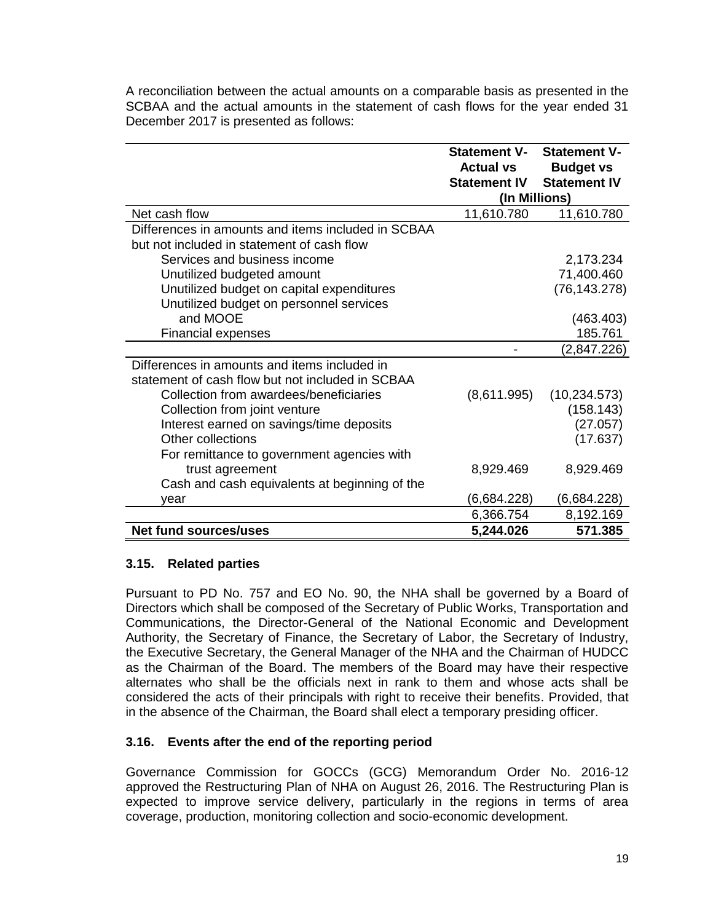A reconciliation between the actual amounts on a comparable basis as presented in the SCBAA and the actual amounts in the statement of cash flows for the year ended 31 December 2017 is presented as follows:

|                                                    | <b>Statement V-</b><br><b>Actual vs</b> | <b>Statement V-</b><br><b>Budget vs</b> |
|----------------------------------------------------|-----------------------------------------|-----------------------------------------|
|                                                    | <b>Statement IV</b>                     | <b>Statement IV</b>                     |
|                                                    | (In Millions)                           |                                         |
| Net cash flow                                      | 11,610.780                              | 11,610.780                              |
| Differences in amounts and items included in SCBAA |                                         |                                         |
| but not included in statement of cash flow         |                                         |                                         |
| Services and business income                       |                                         | 2,173.234                               |
| Unutilized budgeted amount                         |                                         | 71,400.460                              |
| Unutilized budget on capital expenditures          |                                         | (76, 143.278)                           |
| Unutilized budget on personnel services            |                                         |                                         |
| and MOOE                                           |                                         | (463.403)                               |
| <b>Financial expenses</b>                          |                                         | 185.761                                 |
|                                                    |                                         | (2,847.226)                             |
| Differences in amounts and items included in       |                                         |                                         |
| statement of cash flow but not included in SCBAA   |                                         |                                         |
| Collection from awardees/beneficiaries             | (8,611.995)                             | (10, 234.573)                           |
| Collection from joint venture                      |                                         | (158.143)                               |
| Interest earned on savings/time deposits           |                                         | (27.057)                                |
| Other collections                                  |                                         | (17.637)                                |
| For remittance to government agencies with         |                                         |                                         |
| trust agreement                                    | 8,929.469                               | 8,929.469                               |
| Cash and cash equivalents at beginning of the      |                                         |                                         |
| vear                                               | (6,684.228)                             | (6,684.228)                             |
|                                                    | 6,366.754                               | 8,192.169                               |
| Net fund sources/uses                              | 5,244.026                               | 571.385                                 |

### **3.15. Related parties**

Pursuant to PD No. 757 and EO No. 90, the NHA shall be governed by a Board of Directors which shall be composed of the Secretary of Public Works, Transportation and Communications, the Director-General of the National Economic and Development Authority, the Secretary of Finance, the Secretary of Labor, the Secretary of Industry, the Executive Secretary, the General Manager of the NHA and the Chairman of HUDCC as the Chairman of the Board. The members of the Board may have their respective alternates who shall be the officials next in rank to them and whose acts shall be considered the acts of their principals with right to receive their benefits. Provided, that in the absence of the Chairman, the Board shall elect a temporary presiding officer.

# **3.16. Events after the end of the reporting period**

Governance Commission for GOCCs (GCG) Memorandum Order No. 2016-12 approved the Restructuring Plan of NHA on August 26, 2016. The Restructuring Plan is expected to improve service delivery, particularly in the regions in terms of area coverage, production, monitoring collection and socio-economic development.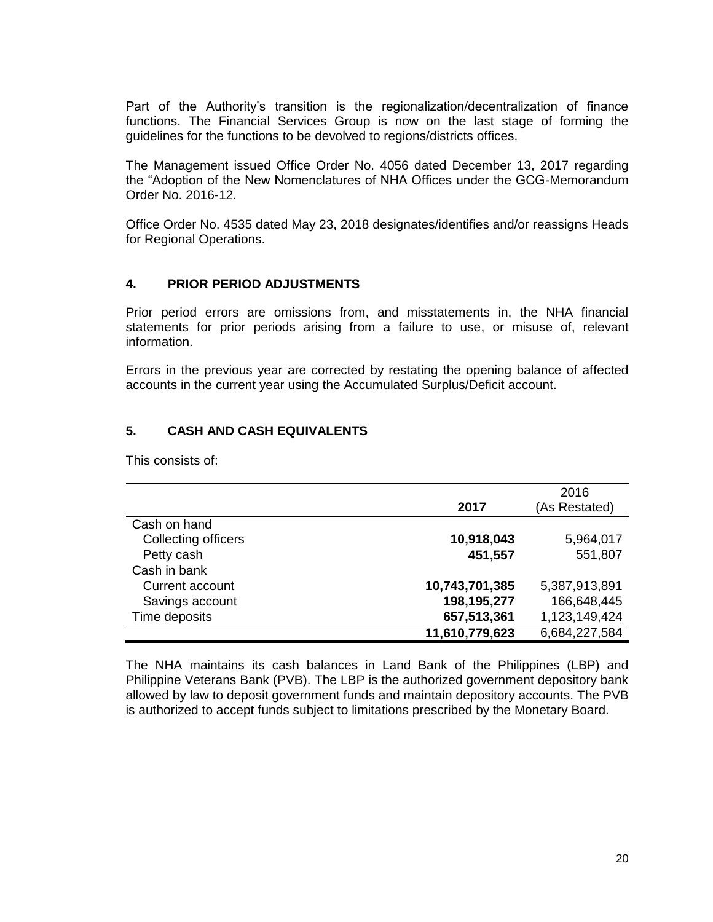Part of the Authority's transition is the regionalization/decentralization of finance functions. The Financial Services Group is now on the last stage of forming the guidelines for the functions to be devolved to regions/districts offices.

The Management issued Office Order No. 4056 dated December 13, 2017 regarding the "Adoption of the New Nomenclatures of NHA Offices under the GCG-Memorandum Order No. 2016-12.

Office Order No. 4535 dated May 23, 2018 designates/identifies and/or reassigns Heads for Regional Operations.

### **4. PRIOR PERIOD ADJUSTMENTS**

Prior period errors are omissions from, and misstatements in, the NHA financial statements for prior periods arising from a failure to use, or misuse of, relevant information.

Errors in the previous year are corrected by restating the opening balance of affected accounts in the current year using the Accumulated Surplus/Deficit account.

### **5. CASH AND CASH EQUIVALENTS**

This consists of:

|                     | 2017           | 2016<br>(As Restated) |
|---------------------|----------------|-----------------------|
| Cash on hand        |                |                       |
| Collecting officers | 10,918,043     | 5,964,017             |
| Petty cash          | 451,557        | 551,807               |
| Cash in bank        |                |                       |
| Current account     | 10,743,701,385 | 5,387,913,891         |
| Savings account     | 198,195,277    | 166,648,445           |
| Time deposits       | 657,513,361    | 1,123,149,424         |
|                     | 11,610,779,623 | 6,684,227,584         |

The NHA maintains its cash balances in Land Bank of the Philippines (LBP) and Philippine Veterans Bank (PVB). The LBP is the authorized government depository bank allowed by law to deposit government funds and maintain depository accounts. The PVB is authorized to accept funds subject to limitations prescribed by the Monetary Board.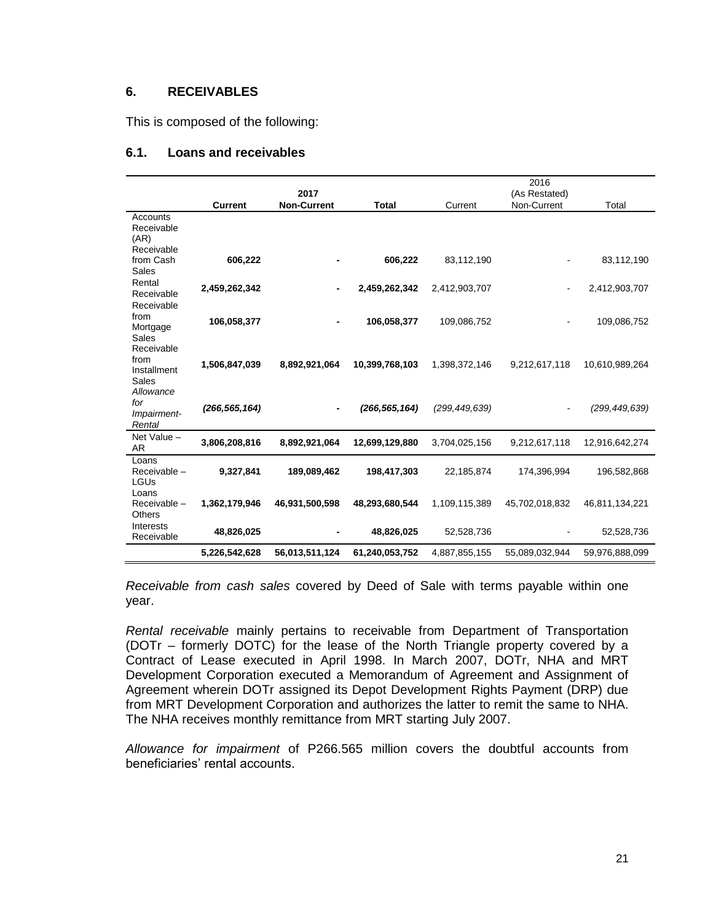#### **6. RECEIVABLES**

This is composed of the following:

#### **6.1. Loans and receivables**

|                       |                 | 2017               |                 |                 | 2016                         |                |
|-----------------------|-----------------|--------------------|-----------------|-----------------|------------------------------|----------------|
|                       | <b>Current</b>  | <b>Non-Current</b> | <b>Total</b>    | Current         | (As Restated)<br>Non-Current | Total          |
| Accounts              |                 |                    |                 |                 |                              |                |
| Receivable            |                 |                    |                 |                 |                              |                |
| (AR)<br>Receivable    |                 |                    |                 |                 |                              |                |
| from Cash             | 606,222         |                    | 606,222         | 83,112,190      |                              | 83,112,190     |
| Sales                 |                 |                    |                 |                 |                              |                |
| Rental                | 2,459,262,342   |                    | 2,459,262,342   | 2,412,903,707   |                              | 2,412,903,707  |
| Receivable            |                 |                    |                 |                 |                              |                |
| Receivable<br>from    |                 |                    |                 |                 |                              |                |
| Mortgage              | 106.058,377     |                    | 106,058,377     | 109,086,752     |                              | 109,086,752    |
| Sales                 |                 |                    |                 |                 |                              |                |
| Receivable            |                 |                    |                 |                 |                              |                |
| from                  | 1,506,847,039   | 8,892,921,064      | 10,399,768,103  | 1,398,372,146   | 9,212,617,118                | 10,610,989,264 |
| Installment<br>Sales  |                 |                    |                 |                 |                              |                |
| Allowance             |                 |                    |                 |                 |                              |                |
| for                   |                 |                    |                 |                 |                              |                |
| Impairment-           | (266, 565, 164) |                    | (266, 565, 164) | (299, 449, 639) |                              | (299,449,639)  |
| Rental                |                 |                    |                 |                 |                              |                |
| Net Value -           | 3,806,208,816   | 8,892,921,064      | 12,699,129,880  | 3,704,025,156   | 9,212,617,118                | 12,916,642,274 |
| <b>AR</b>             |                 |                    |                 |                 |                              |                |
| Loans<br>Receivable - | 9,327,841       | 189,089,462        | 198,417,303     | 22,185,874      | 174,396,994                  | 196,582,868    |
| LGUs                  |                 |                    |                 |                 |                              |                |
| Loans                 |                 |                    |                 |                 |                              |                |
| Receivable -          | 1,362,179,946   | 46,931,500,598     | 48,293,680,544  | 1,109,115,389   | 45,702,018,832               | 46,811,134,221 |
| <b>Others</b>         |                 |                    |                 |                 |                              |                |
| Interests             | 48,826,025      |                    | 48,826,025      | 52,528,736      |                              | 52,528,736     |
| Receivable            |                 |                    |                 |                 |                              |                |
|                       | 5,226,542,628   | 56,013,511,124     | 61,240,053,752  | 4,887,855,155   | 55,089,032,944               | 59,976,888,099 |

*Receivable from cash sales* covered by Deed of Sale with terms payable within one year.

*Rental receivable* mainly pertains to receivable from Department of Transportation (DOTr – formerly DOTC) for the lease of the North Triangle property covered by a Contract of Lease executed in April 1998. In March 2007, DOTr, NHA and MRT Development Corporation executed a Memorandum of Agreement and Assignment of Agreement wherein DOTr assigned its Depot Development Rights Payment (DRP) due from MRT Development Corporation and authorizes the latter to remit the same to NHA. The NHA receives monthly remittance from MRT starting July 2007.

*Allowance for impairment* of P266.565 million covers the doubtful accounts from beneficiaries' rental accounts.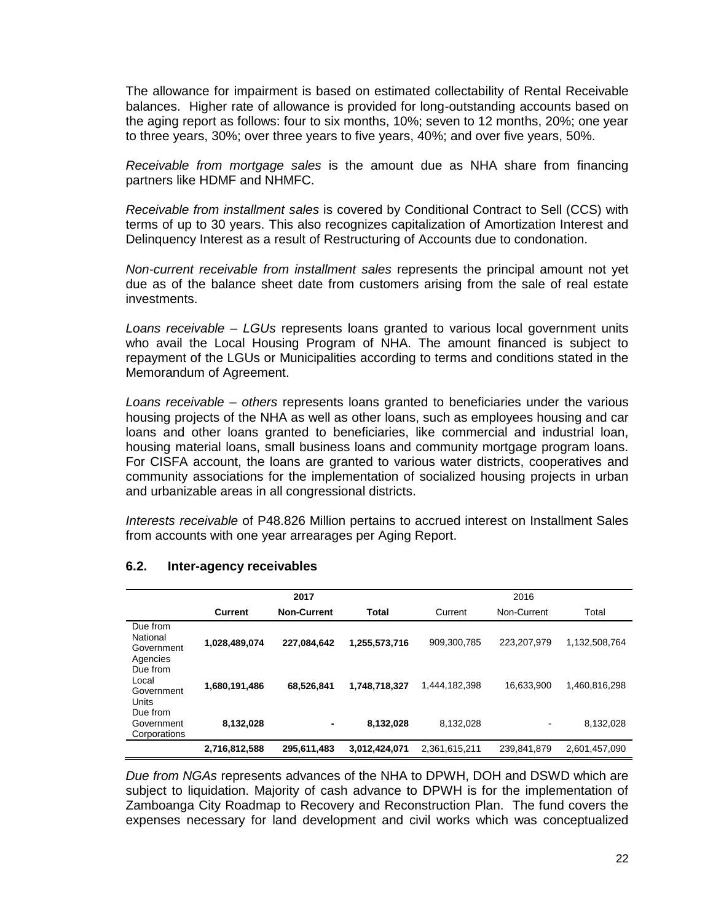The allowance for impairment is based on estimated collectability of Rental Receivable balances. Higher rate of allowance is provided for long-outstanding accounts based on the aging report as follows: four to six months, 10%; seven to 12 months, 20%; one year to three years, 30%; over three years to five years, 40%; and over five years, 50%.

*Receivable from mortgage sales* is the amount due as NHA share from financing partners like HDMF and NHMFC.

*Receivable from installment sales* is covered by Conditional Contract to Sell (CCS) with terms of up to 30 years. This also recognizes capitalization of Amortization Interest and Delinquency Interest as a result of Restructuring of Accounts due to condonation.

*Non-current receivable from installment sales* represents the principal amount not yet due as of the balance sheet date from customers arising from the sale of real estate investments.

*Loans receivable – LGUs* represents loans granted to various local government units who avail the Local Housing Program of NHA. The amount financed is subject to repayment of the LGUs or Municipalities according to terms and conditions stated in the Memorandum of Agreement.

*Loans receivable – others* represents loans granted to beneficiaries under the various housing projects of the NHA as well as other loans, such as employees housing and car loans and other loans granted to beneficiaries, like commercial and industrial loan, housing material loans, small business loans and community mortgage program loans. For CISFA account, the loans are granted to various water districts, cooperatives and community associations for the implementation of socialized housing projects in urban and urbanizable areas in all congressional districts.

*Interests receivable* of P48.826 Million pertains to accrued interest on Installment Sales from accounts with one year arrearages per Aging Report.

|                                                | 2017          |                    |               | 2016          |                          |               |
|------------------------------------------------|---------------|--------------------|---------------|---------------|--------------------------|---------------|
|                                                | Current       | <b>Non-Current</b> | Total         | Current       | Non-Current              | Total         |
| Due from<br>National<br>Government<br>Agencies | 1,028,489,074 | 227,084,642        | 1,255,573,716 | 909,300,785   | 223,207,979              | 1,132,508,764 |
| Due from<br>Local<br>Government<br>Units       | 1,680,191,486 | 68,526,841         | 1,748,718,327 | 1,444,182,398 | 16,633,900               | 1,460,816,298 |
| Due from<br>Government<br>Corporations         | 8,132,028     | ٠                  | 8,132,028     | 8,132,028     | $\overline{\phantom{a}}$ | 8,132,028     |
|                                                | 2,716,812,588 | 295,611,483        | 3,012,424,071 | 2,361,615,211 | 239,841,879              | 2,601,457,090 |

### **6.2. Inter-agency receivables**

*Due from NGAs* represents advances of the NHA to DPWH, DOH and DSWD which are subject to liquidation. Majority of cash advance to DPWH is for the implementation of Zamboanga City Roadmap to Recovery and Reconstruction Plan. The fund covers the expenses necessary for land development and civil works which was conceptualized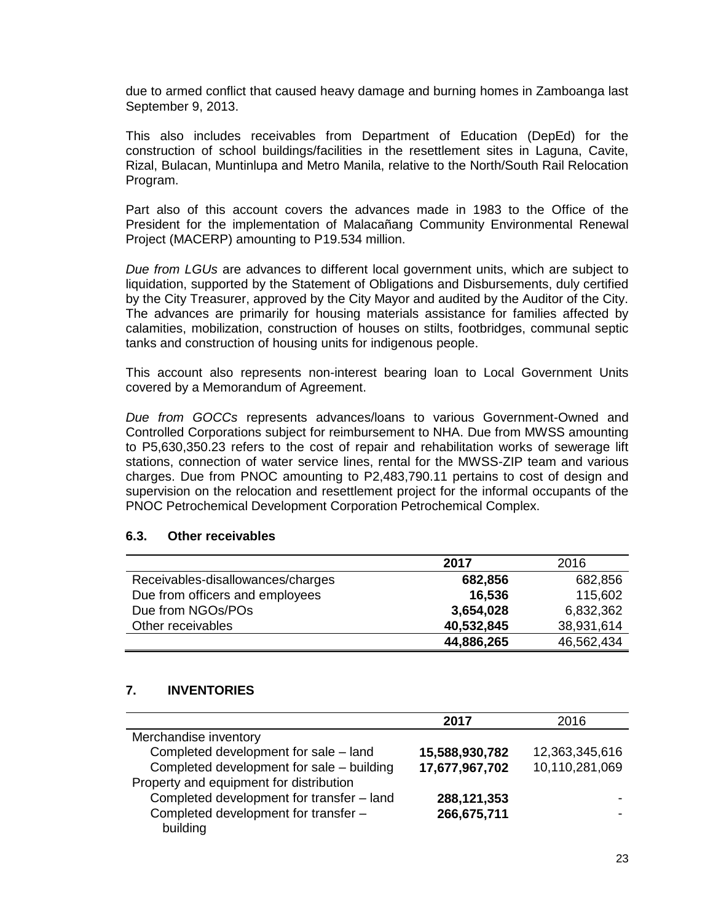due to armed conflict that caused heavy damage and burning homes in Zamboanga last September 9, 2013.

This also includes receivables from Department of Education (DepEd) for the construction of school buildings/facilities in the resettlement sites in Laguna, Cavite, Rizal, Bulacan, Muntinlupa and Metro Manila, relative to the North/South Rail Relocation Program.

Part also of this account covers the advances made in 1983 to the Office of the President for the implementation of Malacañang Community Environmental Renewal Project (MACERP) amounting to P19.534 million.

*Due from LGUs* are advances to different local government units, which are subject to liquidation, supported by the Statement of Obligations and Disbursements, duly certified by the City Treasurer, approved by the City Mayor and audited by the Auditor of the City. The advances are primarily for housing materials assistance for families affected by calamities, mobilization, construction of houses on stilts, footbridges, communal septic tanks and construction of housing units for indigenous people.

This account also represents non-interest bearing loan to Local Government Units covered by a Memorandum of Agreement.

*Due from GOCCs* represents advances/loans to various Government-Owned and Controlled Corporations subject for reimbursement to NHA. Due from MWSS amounting to P5,630,350.23 refers to the cost of repair and rehabilitation works of sewerage lift stations, connection of water service lines, rental for the MWSS-ZIP team and various charges. Due from PNOC amounting to P2,483,790.11 pertains to cost of design and supervision on the relocation and resettlement project for the informal occupants of the PNOC Petrochemical Development Corporation Petrochemical Complex.

#### **6.3. Other receivables**

|                                   | 2017       | 2016       |
|-----------------------------------|------------|------------|
| Receivables-disallowances/charges | 682,856    | 682,856    |
| Due from officers and employees   | 16,536     | 115,602    |
| Due from NGOs/POs                 | 3,654,028  | 6,832,362  |
| Other receivables                 | 40,532,845 | 38,931,614 |
|                                   | 44,886,265 | 46,562,434 |

#### **7. INVENTORIES**

|                                           | 2017           | 2016           |
|-------------------------------------------|----------------|----------------|
| Merchandise inventory                     |                |                |
| Completed development for sale - land     | 15,588,930,782 | 12,363,345,616 |
| Completed development for sale - building | 17,677,967,702 | 10,110,281,069 |
| Property and equipment for distribution   |                |                |
| Completed development for transfer - land | 288,121,353    |                |
| Completed development for transfer -      | 266,675,711    |                |
| building                                  |                |                |
|                                           |                |                |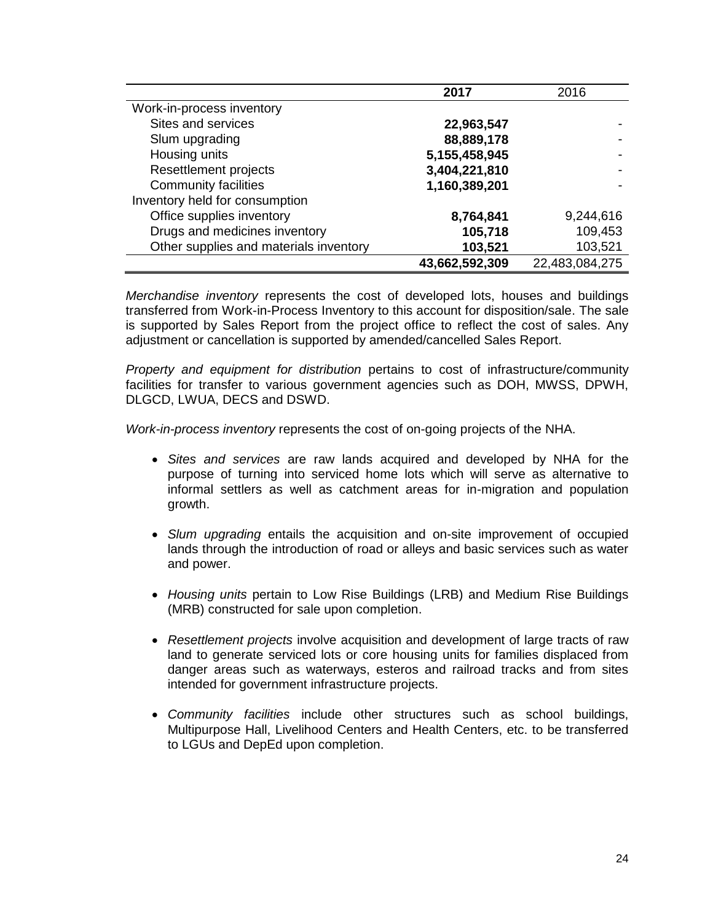|                                        | 2017           | 2016           |
|----------------------------------------|----------------|----------------|
| Work-in-process inventory              |                |                |
| Sites and services                     | 22,963,547     |                |
| Slum upgrading                         | 88,889,178     |                |
| Housing units                          | 5,155,458,945  |                |
| Resettlement projects                  | 3,404,221,810  |                |
| <b>Community facilities</b>            | 1,160,389,201  |                |
| Inventory held for consumption         |                |                |
| Office supplies inventory              | 8,764,841      | 9,244,616      |
| Drugs and medicines inventory          | 105,718        | 109,453        |
| Other supplies and materials inventory | 103,521        | 103,521        |
|                                        | 43,662,592,309 | 22,483,084,275 |

*Merchandise inventory* represents the cost of developed lots, houses and buildings transferred from Work-in-Process Inventory to this account for disposition/sale. The sale is supported by Sales Report from the project office to reflect the cost of sales. Any adjustment or cancellation is supported by amended/cancelled Sales Report.

*Property and equipment for distribution* pertains to cost of infrastructure/community facilities for transfer to various government agencies such as DOH, MWSS, DPWH, DLGCD, LWUA, DECS and DSWD.

*Work-in-process inventory* represents the cost of on-going projects of the NHA.

- *Sites and services* are raw lands acquired and developed by NHA for the purpose of turning into serviced home lots which will serve as alternative to informal settlers as well as catchment areas for in-migration and population growth.
- *Slum upgrading* entails the acquisition and on-site improvement of occupied lands through the introduction of road or alleys and basic services such as water and power.
- *Housing units* pertain to Low Rise Buildings (LRB) and Medium Rise Buildings (MRB) constructed for sale upon completion.
- *Resettlement projects* involve acquisition and development of large tracts of raw land to generate serviced lots or core housing units for families displaced from danger areas such as waterways, esteros and railroad tracks and from sites intended for government infrastructure projects.
- *Community facilities* include other structures such as school buildings, Multipurpose Hall, Livelihood Centers and Health Centers, etc. to be transferred to LGUs and DepEd upon completion.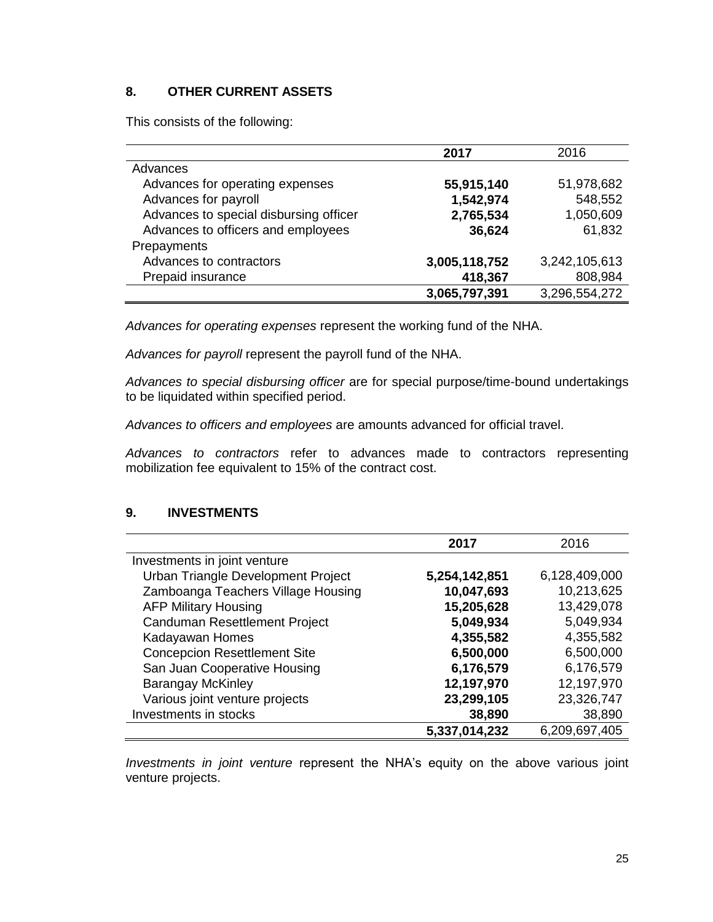# **8. OTHER CURRENT ASSETS**

This consists of the following:

|                                        | 2017          | 2016          |
|----------------------------------------|---------------|---------------|
| Advances                               |               |               |
| Advances for operating expenses        | 55,915,140    | 51,978,682    |
| Advances for payroll                   | 1,542,974     | 548,552       |
| Advances to special disbursing officer | 2,765,534     | 1,050,609     |
| Advances to officers and employees     | 36,624        | 61,832        |
| Prepayments                            |               |               |
| Advances to contractors                | 3,005,118,752 | 3,242,105,613 |
| Prepaid insurance                      | 418,367       | 808,984       |
|                                        | 3,065,797,391 | 3,296,554,272 |

*Advances for operating expenses* represent the working fund of the NHA.

*Advances for payroll* represent the payroll fund of the NHA.

*Advances to special disbursing officer* are for special purpose/time-bound undertakings to be liquidated within specified period.

*Advances to officers and employees* are amounts advanced for official travel.

*Advances to contractors* refer to advances made to contractors representing mobilization fee equivalent to 15% of the contract cost.

### **9. INVESTMENTS**

|                                     | 2017          | 2016          |
|-------------------------------------|---------------|---------------|
| Investments in joint venture        |               |               |
| Urban Triangle Development Project  | 5,254,142,851 | 6,128,409,000 |
| Zamboanga Teachers Village Housing  | 10,047,693    | 10,213,625    |
| <b>AFP Military Housing</b>         | 15,205,628    | 13,429,078    |
| Canduman Resettlement Project       | 5,049,934     | 5,049,934     |
| Kadayawan Homes                     | 4,355,582     | 4,355,582     |
| <b>Concepcion Resettlement Site</b> | 6,500,000     | 6,500,000     |
| San Juan Cooperative Housing        | 6,176,579     | 6,176,579     |
| <b>Barangay McKinley</b>            | 12,197,970    | 12,197,970    |
| Various joint venture projects      | 23,299,105    | 23,326,747    |
| Investments in stocks               | 38,890        | 38,890        |
|                                     | 5,337,014,232 | 6,209,697,405 |

*Investments in joint venture* represent the NHA's equity on the above various joint venture projects.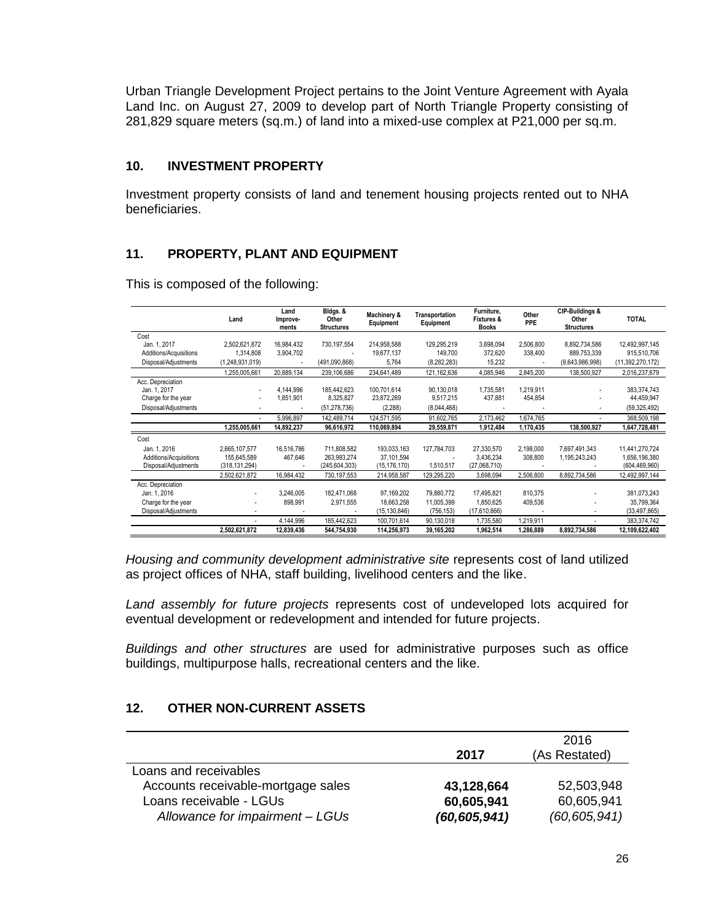Urban Triangle Development Project pertains to the Joint Venture Agreement with Ayala Land Inc. on August 27, 2009 to develop part of North Triangle Property consisting of 281,829 square meters (sq.m.) of land into a mixed-use complex at P21,000 per sq.m.

# **10. INVESTMENT PROPERTY**

Investment property consists of land and tenement housing projects rented out to NHA beneficiaries.

# **11. PROPERTY, PLANT AND EQUIPMENT**

|                        | Land            | Land<br>Improve-<br>ments | Bldgs. &<br>Other<br><b>Structures</b> | Machinery &<br>Equipment | <b>Transportation</b><br>Equipment | Furniture,<br><b>Fixtures &amp;</b><br><b>Books</b> | Other<br><b>PPE</b> | CIP-Buildings &<br>Other<br><b>Structures</b> | <b>TOTAL</b>     |
|------------------------|-----------------|---------------------------|----------------------------------------|--------------------------|------------------------------------|-----------------------------------------------------|---------------------|-----------------------------------------------|------------------|
| Cost                   |                 |                           |                                        |                          |                                    |                                                     |                     |                                               |                  |
| Jan. 1, 2017           | 2.502.621.872   | 16,984,432                | 730,197,554                            | 214,958,588              | 129,295,219                        | 3,698,094                                           | 2.506.800           | 8,892,734,586                                 | 12,492,997,145   |
| Additions/Acquisitions | 1.314.808       | 3,904,702                 |                                        | 19.677.137               | 149,700                            | 372.620                                             | 338,400             | 889,753,339                                   | 915.510.706      |
| Disposal/Adjustments   | (1,248,931,019) |                           | (491,090,868)                          | 5.764                    | (8, 282, 283)                      | 15.232                                              |                     | (9,643,986,998)                               | (11,392,270,172) |
|                        | 1,255,005,661   | 20,889,134                | 239,106,686                            | 234,641,489              | 121, 162, 636                      | 4.085.946                                           | 2,845,200           | 138,500,927                                   | 2,016,237,679    |
| Acc. Depreciation      |                 |                           |                                        |                          |                                    |                                                     |                     |                                               |                  |
| Jan. 1, 2017           |                 | 4.144.996                 | 185.442.623                            | 100.701.614              | 90,130,018                         | 1.735.581                                           | 1.219.911           | ٠                                             | 383,374,743      |
| Charge for the year    |                 | 1,851,901                 | 8,325,827                              | 23.872.269               | 9,517,215                          | 437,881                                             | 454,854             | $\overline{a}$                                | 44.459.947       |
| Disposal/Adjustments   |                 |                           | (51, 278, 736)                         | (2, 288)                 | (8,044,468)                        |                                                     |                     |                                               | (59, 325, 492)   |
|                        |                 | 5.996.897                 | 142,489,714                            | 124,571,595              | 91,602,765                         | 2,173,462                                           | 1,674,765           |                                               | 368,509,198      |
|                        | 1,255,005,661   | 14,892,237                | 96,616,972                             | 110,069,894              | 29,559,871                         | 1,912,484                                           | 1,170,435           | 138,500,927                                   | 1,647,728,481    |
| Cost                   |                 |                           |                                        |                          |                                    |                                                     |                     |                                               |                  |
| Jan. 1, 2016           | 2,665,107,577   | 16,516,786                | 711,808,582                            | 193,033,163              | 127,784,703                        | 27.330.570                                          | 2,198,000           | 7,697,491,343                                 | 11,441,270,724   |
| Additions/Acquisitions | 155,645,589     | 467,646                   | 263,993,274                            | 37,101,594               |                                    | 3,436,234                                           | 308,800             | 1,195,243,243                                 | 1,656,196,380    |
| Disposal/Adjustments   | (318, 131, 294) |                           | (245, 604, 303)                        | (15, 176, 170)           | 1,510,517                          | (27,068,710)                                        |                     |                                               | (604, 469, 960)  |
|                        | 2,502,621,872   | 16,984,432                | 730,197,553                            | 214,958,587              | 129,295,220                        | 3,698,094                                           | 2.506.800           | 8,892,734,586                                 | 12,492,997,144   |
| Acc. Depreciation      |                 |                           |                                        |                          |                                    |                                                     |                     |                                               |                  |
| Jan. 1, 2016           |                 | 3,246,005                 | 182,471,068                            | 97.169.202               | 79,880,772                         | 17,495,821                                          | 810,375             |                                               | 381,073,243      |
| Charge for the year    | ٠               | 898,991                   | 2,971,555                              | 18,663,258               | 11,005,399                         | 1,850,625                                           | 409,536             |                                               | 35,799,364       |
| Disposal/Adjustments   | ٠               |                           |                                        | (15,130,846)             | (756, 153)                         | (17,610,866)                                        | $\sim$              |                                               | (33, 497, 865)   |
|                        | ٠               | 4,144,996                 | 185,442,623                            | 100,701,614              | 90,130,018                         | 1,735,580                                           | 1,219,911           |                                               | 383,374,742      |
|                        | 2.502.621.872   | 12.839.436                | 544.754.930                            | 114.256.973              | 39,165,202                         | 1.962.514                                           | 1.286.889           | 8.892.734.586                                 | 12,109,622,402   |

This is composed of the following:

*Housing and community development administrative site* represents cost of land utilized as project offices of NHA, staff building, livelihood centers and the like.

*Land assembly for future projects* represents cost of undeveloped lots acquired for eventual development or redevelopment and intended for future projects.

*Buildings and other structures* are used for administrative purposes such as office buildings, multipurpose halls, recreational centers and the like.

# **12. OTHER NON-CURRENT ASSETS**

|                                    |                | 2016           |
|------------------------------------|----------------|----------------|
|                                    | 2017           | (As Restated)  |
| Loans and receivables              |                |                |
| Accounts receivable-mortgage sales | 43,128,664     | 52,503,948     |
| Loans receivable - LGUs            | 60,605,941     | 60,605,941     |
| Allowance for impairment - LGUs    | (60, 605, 941) | (60, 605, 941) |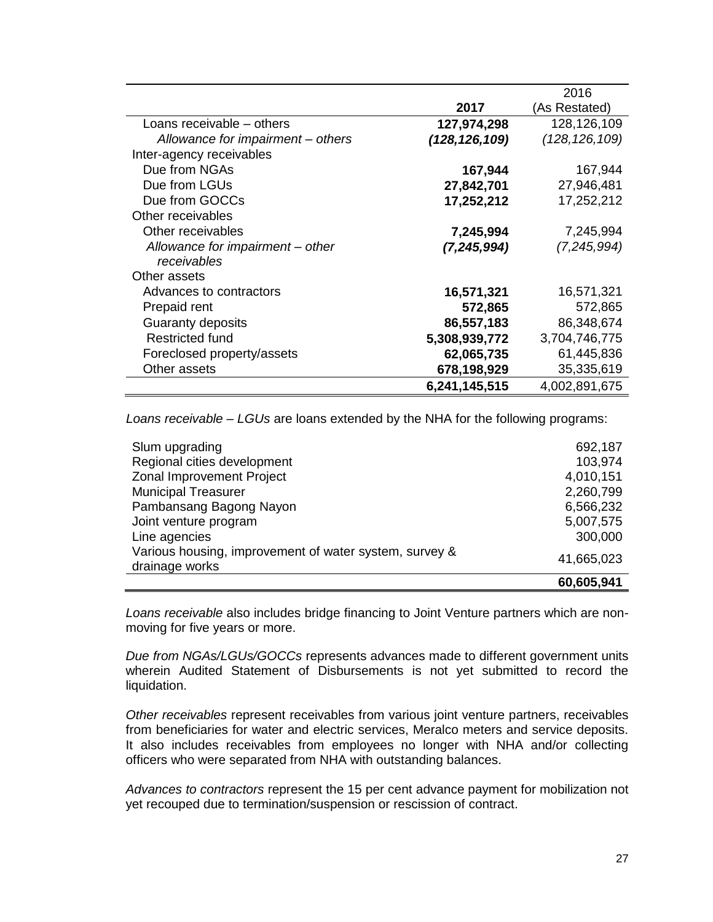|                                   |                 | 2016            |
|-----------------------------------|-----------------|-----------------|
|                                   | 2017            | (As Restated)   |
| Loans receivable – others         | 127,974,298     | 128,126,109     |
| Allowance for impairment – others | (128, 126, 109) | (128, 126, 109) |
| Inter-agency receivables          |                 |                 |
| Due from NGAs                     | 167,944         | 167,944         |
| Due from LGUs                     | 27,842,701      | 27,946,481      |
| Due from GOCCs                    | 17,252,212      | 17,252,212      |
| Other receivables                 |                 |                 |
| Other receivables                 | 7,245,994       | 7,245,994       |
| Allowance for impairment – other  | (7, 245, 994)   | (7,245,994)     |
| receivables                       |                 |                 |
| Other assets                      |                 |                 |
| Advances to contractors           | 16,571,321      | 16,571,321      |
| Prepaid rent                      | 572,865         | 572,865         |
| Guaranty deposits                 | 86,557,183      | 86,348,674      |
| <b>Restricted fund</b>            | 5,308,939,772   | 3,704,746,775   |
| Foreclosed property/assets        | 62,065,735      | 61,445,836      |
| Other assets                      | 678,198,929     | 35,335,619      |
|                                   | 6,241,145,515   | 4,002,891,675   |

*Loans receivable – LGUs* are loans extended by the NHA for the following programs:

|                                                        | 60,605,941 |
|--------------------------------------------------------|------------|
| drainage works                                         |            |
| Various housing, improvement of water system, survey & | 41,665,023 |
| Line agencies                                          | 300,000    |
| Joint venture program                                  | 5,007,575  |
| Pambansang Bagong Nayon                                | 6,566,232  |
| <b>Municipal Treasurer</b>                             | 2,260,799  |
| Zonal Improvement Project                              | 4,010,151  |
| Regional cities development                            | 103,974    |
| Slum upgrading                                         | 692,187    |
|                                                        |            |

*Loans receivable* also includes bridge financing to Joint Venture partners which are nonmoving for five years or more.

*Due from NGAs/LGUs/GOCCs* represents advances made to different government units wherein Audited Statement of Disbursements is not yet submitted to record the liquidation.

*Other receivables* represent receivables from various joint venture partners, receivables from beneficiaries for water and electric services, Meralco meters and service deposits. It also includes receivables from employees no longer with NHA and/or collecting officers who were separated from NHA with outstanding balances.

*Advances to contractors* represent the 15 per cent advance payment for mobilization not yet recouped due to termination/suspension or rescission of contract.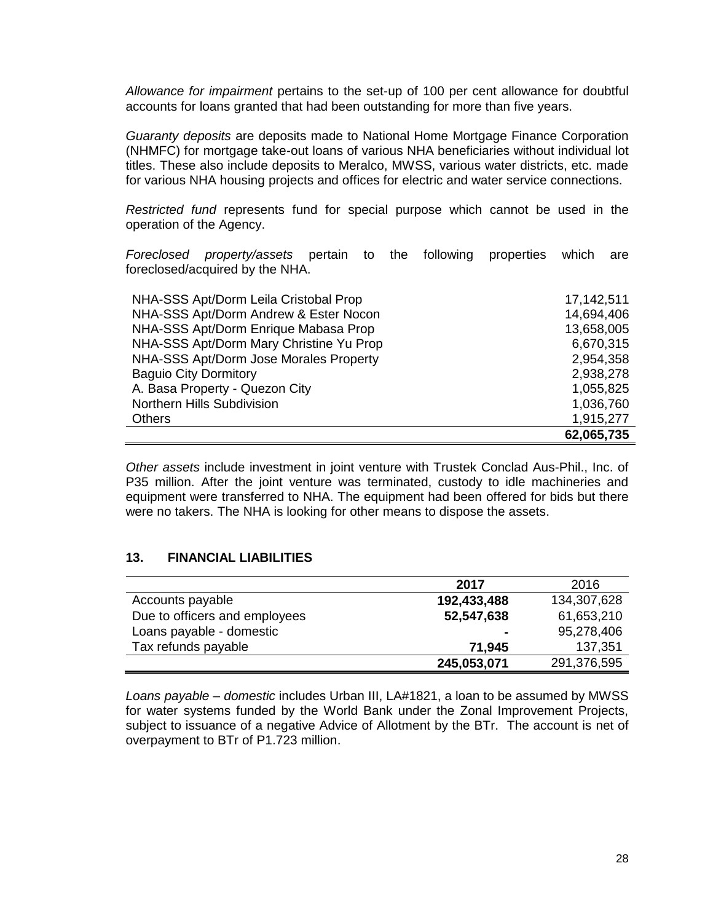*Allowance for impairment* pertains to the set-up of 100 per cent allowance for doubtful accounts for loans granted that had been outstanding for more than five years.

*Guaranty deposits* are deposits made to National Home Mortgage Finance Corporation (NHMFC) for mortgage take-out loans of various NHA beneficiaries without individual lot titles. These also include deposits to Meralco, MWSS, various water districts, etc. made for various NHA housing projects and offices for electric and water service connections.

*Restricted fund* represents fund for special purpose which cannot be used in the operation of the Agency.

*Foreclosed property/assets* pertain to the following properties which are foreclosed/acquired by the NHA.

| NHA-SSS Apt/Dorm Leila Cristobal Prop   | 17,142,511 |
|-----------------------------------------|------------|
| NHA-SSS Apt/Dorm Andrew & Ester Nocon   | 14,694,406 |
| NHA-SSS Apt/Dorm Enrique Mabasa Prop    | 13,658,005 |
| NHA-SSS Apt/Dorm Mary Christine Yu Prop | 6,670,315  |
| NHA-SSS Apt/Dorm Jose Morales Property  | 2,954,358  |
| <b>Baguio City Dormitory</b>            | 2,938,278  |
| A. Basa Property - Quezon City          | 1,055,825  |
| <b>Northern Hills Subdivision</b>       | 1,036,760  |
| Others                                  | 1,915,277  |
|                                         | 62,065,735 |

*Other assets* include investment in joint venture with Trustek Conclad Aus-Phil., Inc. of P35 million. After the joint venture was terminated, custody to idle machineries and equipment were transferred to NHA. The equipment had been offered for bids but there were no takers. The NHA is looking for other means to dispose the assets.

#### **13. FINANCIAL LIABILITIES**

|                               | 2017           | 2016        |
|-------------------------------|----------------|-------------|
| Accounts payable              | 192,433,488    | 134,307,628 |
| Due to officers and employees | 52,547,638     | 61,653,210  |
| Loans payable - domestic      | $\blacksquare$ | 95,278,406  |
| Tax refunds payable           | 71,945         | 137,351     |
|                               | 245,053,071    | 291,376,595 |

*Loans payable – domestic* includes Urban III, LA#1821, a loan to be assumed by MWSS for water systems funded by the World Bank under the Zonal Improvement Projects, subject to issuance of a negative Advice of Allotment by the BTr. The account is net of overpayment to BTr of P1.723 million.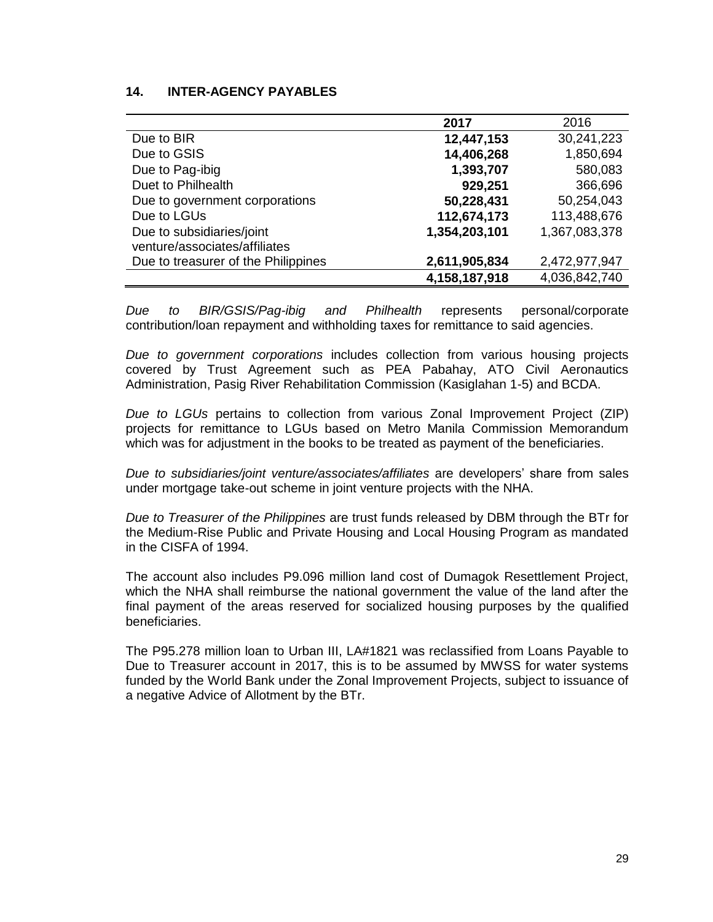### **14. INTER-AGENCY PAYABLES**

|                                     | 2017          | 2016          |
|-------------------------------------|---------------|---------------|
| Due to BIR                          | 12,447,153    | 30,241,223    |
| Due to GSIS                         | 14,406,268    | 1,850,694     |
| Due to Pag-ibig                     | 1,393,707     | 580,083       |
| Duet to Philhealth                  | 929,251       | 366,696       |
| Due to government corporations      | 50,228,431    | 50,254,043    |
| Due to LGUs                         | 112,674,173   | 113,488,676   |
| Due to subsidiaries/joint           | 1,354,203,101 | 1,367,083,378 |
| venture/associates/affiliates       |               |               |
| Due to treasurer of the Philippines | 2,611,905,834 | 2,472,977,947 |
|                                     | 4,158,187,918 | 4,036,842,740 |

*Due to BIR/GSIS/Pag-ibig and Philhealth* represents personal/corporate contribution/loan repayment and withholding taxes for remittance to said agencies.

*Due to government corporations* includes collection from various housing projects covered by Trust Agreement such as PEA Pabahay, ATO Civil Aeronautics Administration, Pasig River Rehabilitation Commission (Kasiglahan 1-5) and BCDA.

*Due to LGUs* pertains to collection from various Zonal Improvement Project (ZIP) projects for remittance to LGUs based on Metro Manila Commission Memorandum which was for adjustment in the books to be treated as payment of the beneficiaries.

*Due to subsidiaries/joint venture/associates/affiliates* are developers' share from sales under mortgage take-out scheme in joint venture projects with the NHA.

*Due to Treasurer of the Philippines* are trust funds released by DBM through the BTr for the Medium-Rise Public and Private Housing and Local Housing Program as mandated in the CISFA of 1994.

The account also includes P9.096 million land cost of Dumagok Resettlement Project, which the NHA shall reimburse the national government the value of the land after the final payment of the areas reserved for socialized housing purposes by the qualified beneficiaries.

The P95.278 million loan to Urban III, LA#1821 was reclassified from Loans Payable to Due to Treasurer account in 2017, this is to be assumed by MWSS for water systems funded by the World Bank under the Zonal Improvement Projects, subject to issuance of a negative Advice of Allotment by the BTr.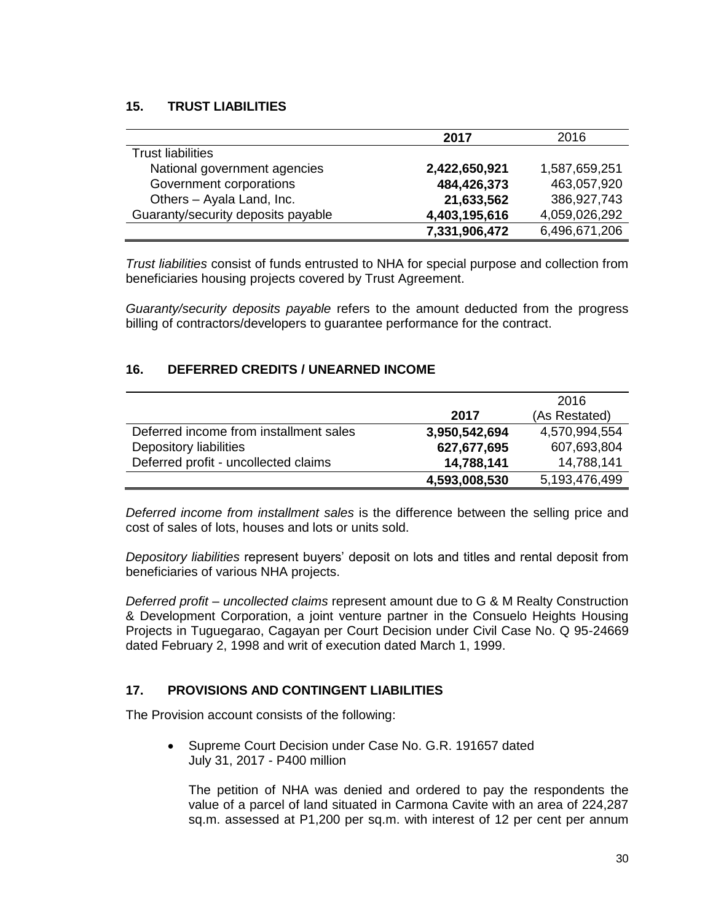# **15. TRUST LIABILITIES**

|                                    | 2017          | 2016          |
|------------------------------------|---------------|---------------|
| <b>Trust liabilities</b>           |               |               |
| National government agencies       | 2,422,650,921 | 1,587,659,251 |
| Government corporations            | 484,426,373   | 463,057,920   |
| Others - Ayala Land, Inc.          | 21,633,562    | 386,927,743   |
| Guaranty/security deposits payable | 4,403,195,616 | 4,059,026,292 |
|                                    | 7,331,906,472 | 6,496,671,206 |

*Trust liabilities* consist of funds entrusted to NHA for special purpose and collection from beneficiaries housing projects covered by Trust Agreement.

*Guaranty/security deposits payable* refers to the amount deducted from the progress billing of contractors/developers to guarantee performance for the contract.

# **16. DEFERRED CREDITS / UNEARNED INCOME**

|                                        |               | 2016          |
|----------------------------------------|---------------|---------------|
|                                        | 2017          | (As Restated) |
| Deferred income from installment sales | 3,950,542,694 | 4,570,994,554 |
| Depository liabilities                 | 627,677,695   | 607,693,804   |
| Deferred profit - uncollected claims   | 14,788,141    | 14,788,141    |
|                                        | 4,593,008,530 | 5,193,476,499 |

*Deferred income from installment sales* is the difference between the selling price and cost of sales of lots, houses and lots or units sold.

*Depository liabilities* represent buyers' deposit on lots and titles and rental deposit from beneficiaries of various NHA projects.

*Deferred profit – uncollected claims* represent amount due to G & M Realty Construction & Development Corporation, a joint venture partner in the Consuelo Heights Housing Projects in Tuguegarao, Cagayan per Court Decision under Civil Case No. Q 95-24669 dated February 2, 1998 and writ of execution dated March 1, 1999.

### **17. PROVISIONS AND CONTINGENT LIABILITIES**

The Provision account consists of the following:

• Supreme Court Decision under Case No. G.R. 191657 dated July 31, 2017 - P400 million

The petition of NHA was denied and ordered to pay the respondents the value of a parcel of land situated in Carmona Cavite with an area of 224,287 sq.m. assessed at P1,200 per sq.m. with interest of 12 per cent per annum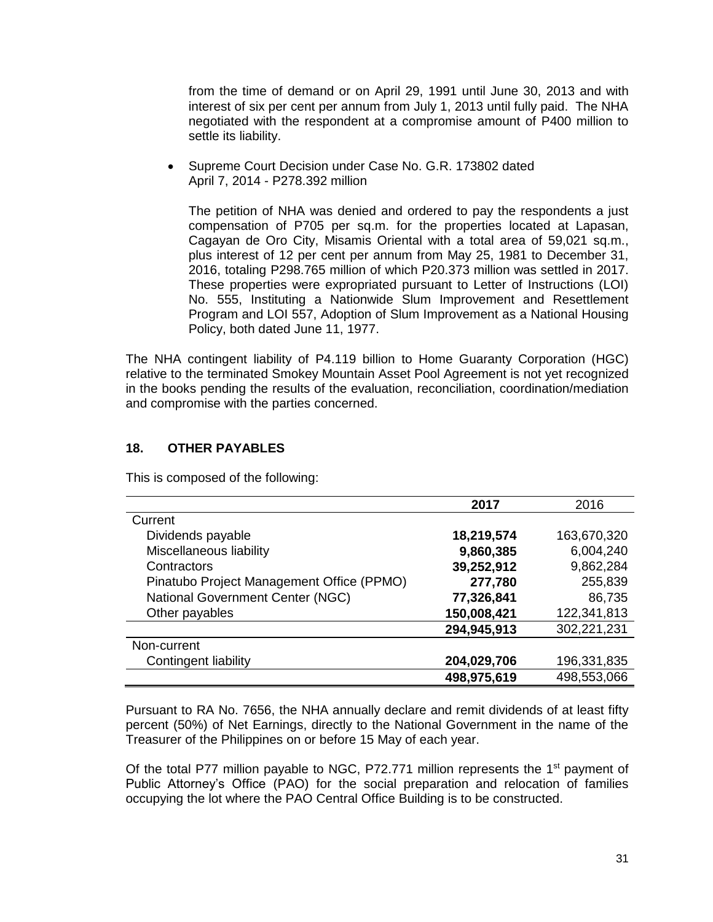from the time of demand or on April 29, 1991 until June 30, 2013 and with interest of six per cent per annum from July 1, 2013 until fully paid. The NHA negotiated with the respondent at a compromise amount of P400 million to settle its liability.

 Supreme Court Decision under Case No. G.R. 173802 dated April 7, 2014 - P278.392 million

The petition of NHA was denied and ordered to pay the respondents a just compensation of P705 per sq.m. for the properties located at Lapasan, Cagayan de Oro City, Misamis Oriental with a total area of 59,021 sq.m., plus interest of 12 per cent per annum from May 25, 1981 to December 31, 2016, totaling P298.765 million of which P20.373 million was settled in 2017. These properties were expropriated pursuant to Letter of Instructions (LOI) No. 555, Instituting a Nationwide Slum Improvement and Resettlement Program and LOI 557, Adoption of Slum Improvement as a National Housing Policy, both dated June 11, 1977.

The NHA contingent liability of P4.119 billion to Home Guaranty Corporation (HGC) relative to the terminated Smokey Mountain Asset Pool Agreement is not yet recognized in the books pending the results of the evaluation, reconciliation, coordination/mediation and compromise with the parties concerned.

# **18. OTHER PAYABLES**

This is composed of the following:

|                                           | 2017        | 2016        |
|-------------------------------------------|-------------|-------------|
| Current                                   |             |             |
| Dividends payable                         | 18,219,574  | 163,670,320 |
| Miscellaneous liability                   | 9,860,385   | 6,004,240   |
| Contractors                               | 39,252,912  | 9,862,284   |
| Pinatubo Project Management Office (PPMO) | 277,780     | 255,839     |
| <b>National Government Center (NGC)</b>   | 77,326,841  | 86,735      |
| Other payables                            | 150,008,421 | 122,341,813 |
|                                           | 294,945,913 | 302,221,231 |
| Non-current                               |             |             |
| Contingent liability                      | 204,029,706 | 196,331,835 |
|                                           | 498,975,619 | 498,553,066 |

Pursuant to RA No. 7656, the NHA annually declare and remit dividends of at least fifty percent (50%) of Net Earnings, directly to the National Government in the name of the Treasurer of the Philippines on or before 15 May of each year.

Of the total P77 million payable to NGC, P72.771 million represents the 1<sup>st</sup> payment of Public Attorney's Office (PAO) for the social preparation and relocation of families occupying the lot where the PAO Central Office Building is to be constructed.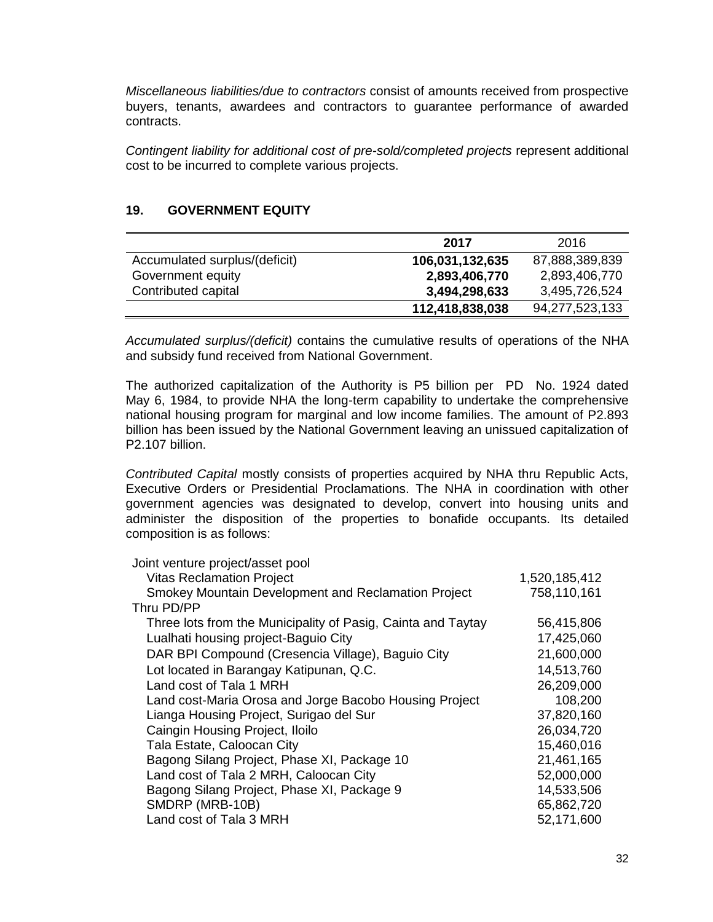*Miscellaneous liabilities/due to contractors* consist of amounts received from prospective buyers, tenants, awardees and contractors to guarantee performance of awarded contracts.

*Contingent liability for additional cost of pre-sold/completed projects* represent additional cost to be incurred to complete various projects.

# **19. GOVERNMENT EQUITY**

|                               | 2017            | 2016           |
|-------------------------------|-----------------|----------------|
| Accumulated surplus/(deficit) | 106,031,132,635 | 87,888,389,839 |
| Government equity             | 2,893,406,770   | 2,893,406,770  |
| Contributed capital           | 3,494,298,633   | 3,495,726,524  |
|                               | 112,418,838,038 | 94,277,523,133 |

*Accumulated surplus/(deficit)* contains the cumulative results of operations of the NHA and subsidy fund received from National Government.

The authorized capitalization of the Authority is P5 billion per PD No. 1924 dated May 6, 1984, to provide NHA the long-term capability to undertake the comprehensive national housing program for marginal and low income families. The amount of P2.893 billion has been issued by the National Government leaving an unissued capitalization of P2.107 billion.

*Contributed Capital* mostly consists of properties acquired by NHA thru Republic Acts, Executive Orders or Presidential Proclamations. The NHA in coordination with other government agencies was designated to develop, convert into housing units and administer the disposition of the properties to bonafide occupants. Its detailed composition is as follows:

| Joint venture project/asset pool                             |               |
|--------------------------------------------------------------|---------------|
| <b>Vitas Reclamation Project</b>                             | 1,520,185,412 |
| Smokey Mountain Development and Reclamation Project          | 758,110,161   |
| Thru PD/PP                                                   |               |
| Three lots from the Municipality of Pasig, Cainta and Taytay | 56,415,806    |
| Lualhati housing project-Baguio City                         | 17,425,060    |
| DAR BPI Compound (Cresencia Village), Baguio City            | 21,600,000    |
| Lot located in Barangay Katipunan, Q.C.                      | 14,513,760    |
| Land cost of Tala 1 MRH                                      | 26,209,000    |
| Land cost-Maria Orosa and Jorge Bacobo Housing Project       | 108,200       |
| Lianga Housing Project, Surigao del Sur                      | 37,820,160    |
| Caingin Housing Project, Iloilo                              | 26,034,720    |
| Tala Estate, Caloocan City                                   | 15,460,016    |
| Bagong Silang Project, Phase XI, Package 10                  | 21,461,165    |
| Land cost of Tala 2 MRH, Caloocan City                       | 52,000,000    |
| Bagong Silang Project, Phase XI, Package 9                   | 14,533,506    |
| SMDRP (MRB-10B)                                              | 65,862,720    |
| Land cost of Tala 3 MRH                                      | 52,171,600    |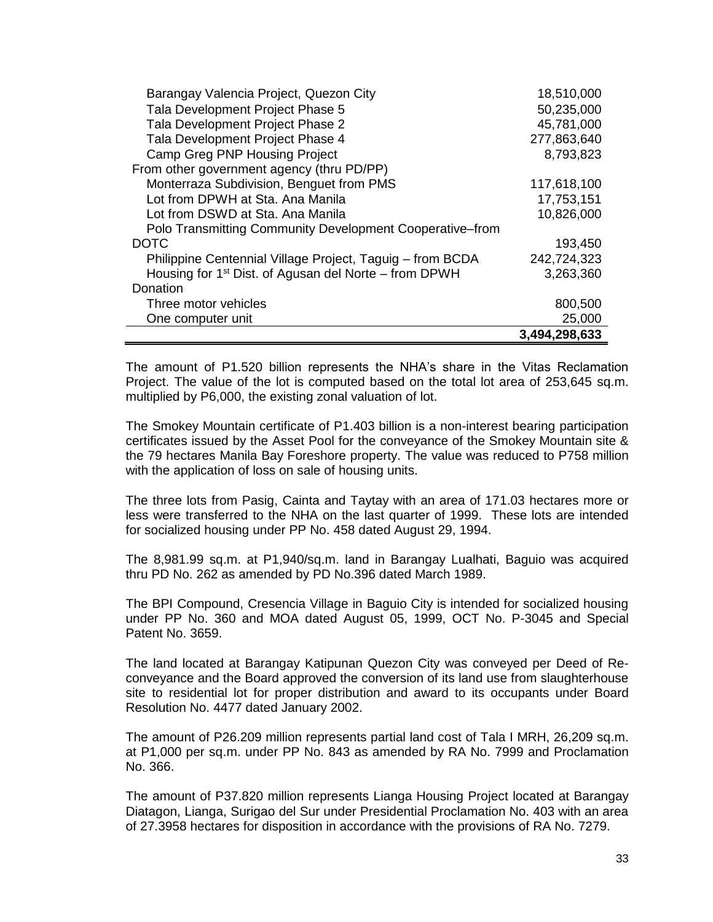|                                                                   | 3,494,298,633 |
|-------------------------------------------------------------------|---------------|
| One computer unit                                                 | 25,000        |
| Three motor vehicles                                              | 800,500       |
| Donation                                                          |               |
| Housing for 1 <sup>st</sup> Dist. of Agusan del Norte – from DPWH | 3,263,360     |
| Philippine Centennial Village Project, Taguig – from BCDA         | 242,724,323   |
| <b>DOTC</b>                                                       | 193,450       |
| Polo Transmitting Community Development Cooperative–from          |               |
| Lot from DSWD at Sta. Ana Manila                                  | 10,826,000    |
| Lot from DPWH at Sta. Ana Manila                                  | 17,753,151    |
| Monterraza Subdivision, Benguet from PMS                          | 117,618,100   |
| From other government agency (thru PD/PP)                         |               |
| <b>Camp Greg PNP Housing Project</b>                              | 8,793,823     |
| Tala Development Project Phase 4                                  | 277,863,640   |
| Tala Development Project Phase 2                                  | 45,781,000    |
| Tala Development Project Phase 5                                  | 50,235,000    |
| Barangay Valencia Project, Quezon City                            | 18,510,000    |

The amount of P1.520 billion represents the NHA's share in the Vitas Reclamation Project. The value of the lot is computed based on the total lot area of 253,645 sq.m. multiplied by P6,000, the existing zonal valuation of lot.

The Smokey Mountain certificate of P1.403 billion is a non-interest bearing participation certificates issued by the Asset Pool for the conveyance of the Smokey Mountain site & the 79 hectares Manila Bay Foreshore property. The value was reduced to P758 million with the application of loss on sale of housing units.

The three lots from Pasig, Cainta and Taytay with an area of 171.03 hectares more or less were transferred to the NHA on the last quarter of 1999. These lots are intended for socialized housing under PP No. 458 dated August 29, 1994.

The 8,981.99 sq.m. at P1,940/sq.m. land in Barangay Lualhati, Baguio was acquired thru PD No. 262 as amended by PD No.396 dated March 1989.

The BPI Compound, Cresencia Village in Baguio City is intended for socialized housing under PP No. 360 and MOA dated August 05, 1999, OCT No. P-3045 and Special Patent No. 3659.

The land located at Barangay Katipunan Quezon City was conveyed per Deed of Reconveyance and the Board approved the conversion of its land use from slaughterhouse site to residential lot for proper distribution and award to its occupants under Board Resolution No. 4477 dated January 2002.

The amount of P26.209 million represents partial land cost of Tala I MRH, 26,209 sq.m. at P1,000 per sq.m. under PP No. 843 as amended by RA No. 7999 and Proclamation No. 366.

The amount of P37.820 million represents Lianga Housing Project located at Barangay Diatagon, Lianga, Surigao del Sur under Presidential Proclamation No. 403 with an area of 27.3958 hectares for disposition in accordance with the provisions of RA No. 7279.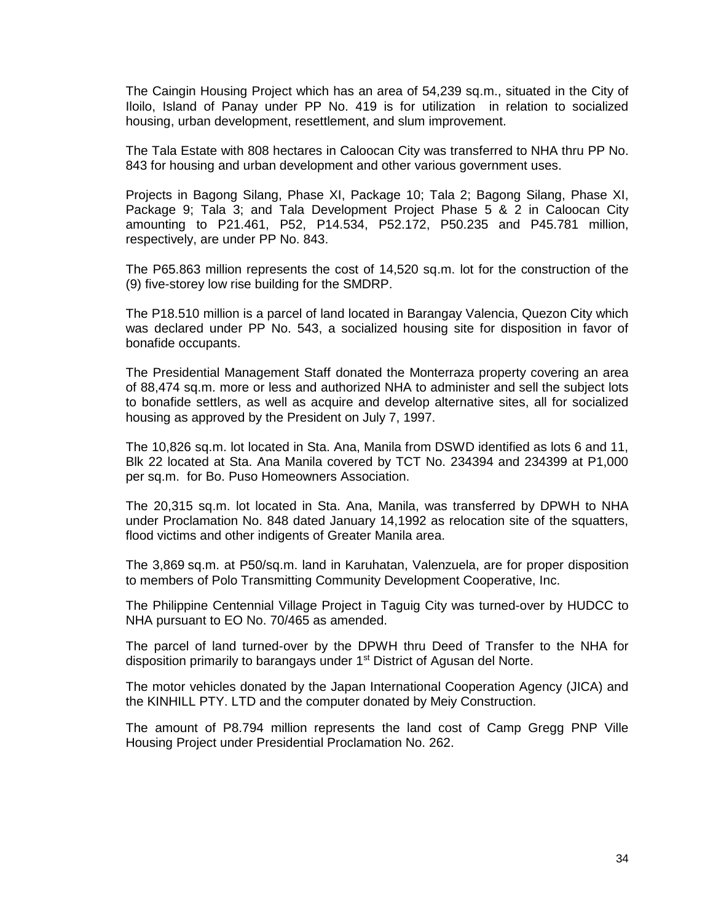The Caingin Housing Project which has an area of 54,239 sq.m., situated in the City of Iloilo, Island of Panay under PP No. 419 is for utilization in relation to socialized housing, urban development, resettlement, and slum improvement.

The Tala Estate with 808 hectares in Caloocan City was transferred to NHA thru PP No. 843 for housing and urban development and other various government uses.

Projects in Bagong Silang, Phase XI, Package 10; Tala 2; Bagong Silang, Phase XI, Package 9; Tala 3; and Tala Development Project Phase 5 & 2 in Caloocan City amounting to P21.461, P52, P14.534, P52.172, P50.235 and P45.781 million, respectively, are under PP No. 843.

The P65.863 million represents the cost of 14,520 sq.m. lot for the construction of the (9) five-storey low rise building for the SMDRP.

The P18.510 million is a parcel of land located in Barangay Valencia, Quezon City which was declared under PP No. 543, a socialized housing site for disposition in favor of bonafide occupants.

The Presidential Management Staff donated the Monterraza property covering an area of 88,474 sq.m. more or less and authorized NHA to administer and sell the subject lots to bonafide settlers, as well as acquire and develop alternative sites, all for socialized housing as approved by the President on July 7, 1997.

The 10,826 sq.m. lot located in Sta. Ana, Manila from DSWD identified as lots 6 and 11, Blk 22 located at Sta. Ana Manila covered by TCT No. 234394 and 234399 at P1,000 per sq.m. for Bo. Puso Homeowners Association.

The 20,315 sq.m. lot located in Sta. Ana, Manila, was transferred by DPWH to NHA under Proclamation No. 848 dated January 14,1992 as relocation site of the squatters, flood victims and other indigents of Greater Manila area.

The 3,869 sq.m. at P50/sq.m. land in Karuhatan, Valenzuela, are for proper disposition to members of Polo Transmitting Community Development Cooperative, Inc.

The Philippine Centennial Village Project in Taguig City was turned-over by HUDCC to NHA pursuant to EO No. 70/465 as amended.

The parcel of land turned-over by the DPWH thru Deed of Transfer to the NHA for disposition primarily to barangays under 1<sup>st</sup> District of Agusan del Norte.

The motor vehicles donated by the Japan International Cooperation Agency (JICA) and the KINHILL PTY. LTD and the computer donated by Meiy Construction.

The amount of P8.794 million represents the land cost of Camp Gregg PNP Ville Housing Project under Presidential Proclamation No. 262.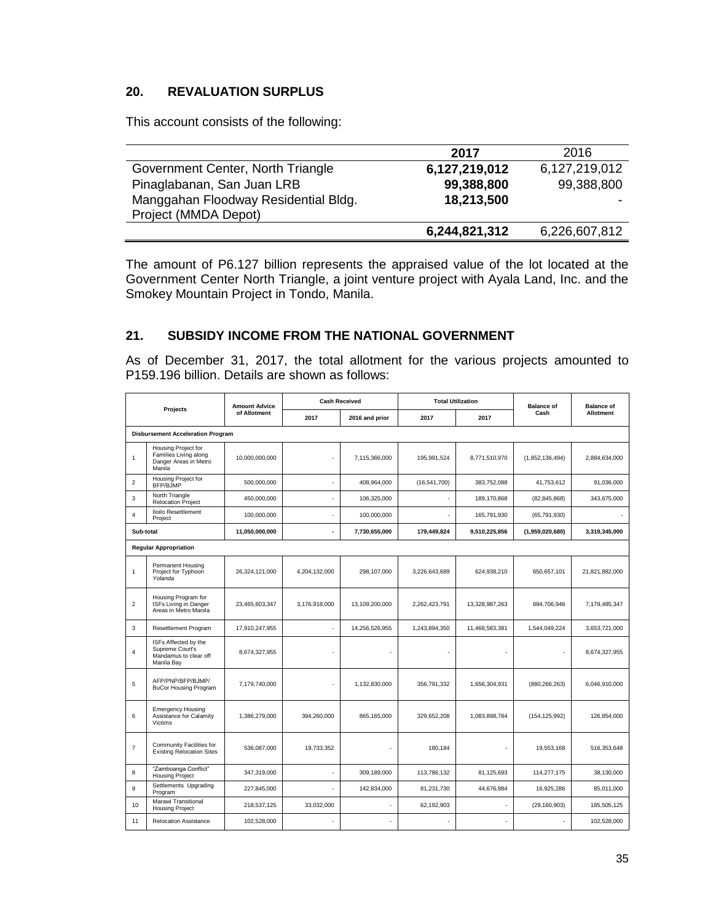# **20. REVALUATION SURPLUS**

This account consists of the following:

|                                      | 2017          | 2016          |
|--------------------------------------|---------------|---------------|
| Government Center, North Triangle    | 6,127,219,012 | 6,127,219,012 |
| Pinaglabanan, San Juan LRB           | 99,388,800    | 99,388,800    |
| Manggahan Floodway Residential Bldg. | 18,213,500    |               |
| Project (MMDA Depot)                 |               |               |
|                                      | 6,244,821,312 | 6,226,607,812 |

The amount of P6.127 billion represents the appraised value of the lot located at the Government Center North Triangle, a joint venture project with Ayala Land, Inc. and the Smokey Mountain Project in Tondo, Manila.

# **21. SUBSIDY INCOME FROM THE NATIONAL GOVERNMENT**

As of December 31, 2017, the total allotment for the various projects amounted to P159.196 billion. Details are shown as follows:

| Projects       |                                                                                 | <b>Amount Advice</b> |                | <b>Cash Received</b> | <b>Total Utilization</b> |                | <b>Balance of</b> | <b>Balance of</b> |
|----------------|---------------------------------------------------------------------------------|----------------------|----------------|----------------------|--------------------------|----------------|-------------------|-------------------|
|                |                                                                                 | of Allotment         | 2017           | 2016 and prior       | 2017                     | 2017           | Cash              | Allotment         |
|                | <b>Disbursement Acceleration Program</b>                                        |                      |                |                      |                          |                |                   |                   |
| 1              | Housing Project for<br>Families Living along<br>Danger Areas in Metro<br>Manila | 10.000.000.000       | $\overline{a}$ | 7.115.366.000        | 195.991.524              | 8.771.510.970  | (1,852,136,494)   | 2.884.634.000     |
| $\overline{c}$ | Housing Project for<br>BFP/BJMP                                                 | 500,000,000          |                | 408,964,000          | (16, 541, 700)           | 383,752,088    | 41,753,612        | 91,036,000        |
| 3              | North Triangle<br><b>Relocation Project</b>                                     | 450,000,000          |                | 106,325,000          |                          | 189,170,868    | (82, 845, 868)    | 343,675,000       |
| $\overline{4}$ | <b>Iloilo Resettlement</b><br>Project                                           | 100,000,000          | ٠              | 100,000,000          |                          | 165,791,930    | (65, 791, 930)    |                   |
| Sub-total      |                                                                                 | 11,050,000,000       | ٠              | 7,730,655,000        | 179,449,824              | 9,510,225,856  | (1,959,020,680)   | 3,319,345,000     |
|                | <b>Regular Appropriation</b>                                                    |                      |                |                      |                          |                |                   |                   |
| 1              | Permanent Housing<br>Project for Typhoon<br>Yolanda                             | 26,324,121,000       | 4,204,132,000  | 298,107,000          | 3,226,643,689            | 624,938,210    | 650,657,101       | 21,821,882,000    |
| $\overline{2}$ | Housing Program for<br>ISFs Living in Danger<br>Areas in Metro Manila           | 23,465,603,347       | 3,176,918,000  | 13,109,200,000       | 2,262,423,791            | 13,328,987,263 | 694,706,946       | 7,179,485,347     |
| 3              | <b>Resettlement Program</b>                                                     | 17,910,247,955       |                | 14,256,526,955       | 1.243.894.350            | 11,468,583,381 | 1,544,049,224     | 3.653.721.000     |
| $\overline{4}$ | ISFs Affected by the<br>Supreme Court's<br>Mandamus to clear off<br>Manila Bay  | 8,674,327,955        |                |                      |                          |                |                   | 8,674,327,955     |
| 5              | AFP/PNP/BFP/BJMP/<br><b>BuCor Housing Program</b>                               | 7,179,740,000        |                | 1,132,830,000        | 356,791,332              | 1,656,304,931  | (880, 266, 263)   | 6,046,910,000     |
| 6              | <b>Emergency Housing</b><br>Assistance for Calamity<br>Victims                  | 1,386,279,000        | 394.260.000    | 865.165.000          | 329.652.208              | 1.083.898.784  | (154, 125, 992)   | 126,854,000       |
| $\overline{7}$ | Community Facilities for<br><b>Existing Relocation Sites</b>                    | 536,087,000          | 19.733.352     | ٠                    | 180.184                  | J.             | 19,553,168        | 516.353.648       |
| 8              | "Zamboanga Conflict"<br><b>Housing Project</b>                                  | 347,319,000          |                | 309,189,000          | 113,786,132              | 81,125,693     | 114,277,175       | 38,130,000        |
| 9              | Settlements Upgrading<br>Program                                                | 227,845,000          |                | 142,834,000          | 81,231,730               | 44,676,984     | 16,925,286        | 85,011,000        |
| 10             | Marawi Transitional<br><b>Housing Project</b>                                   | 218,537,125          | 33,032,000     | $\overline{a}$       | 62,192,903               |                | (29, 160, 903)    | 185,505,125       |
| 11             | <b>Relocation Assistance</b>                                                    | 102,528,000          | ٠              |                      |                          |                |                   | 102,528,000       |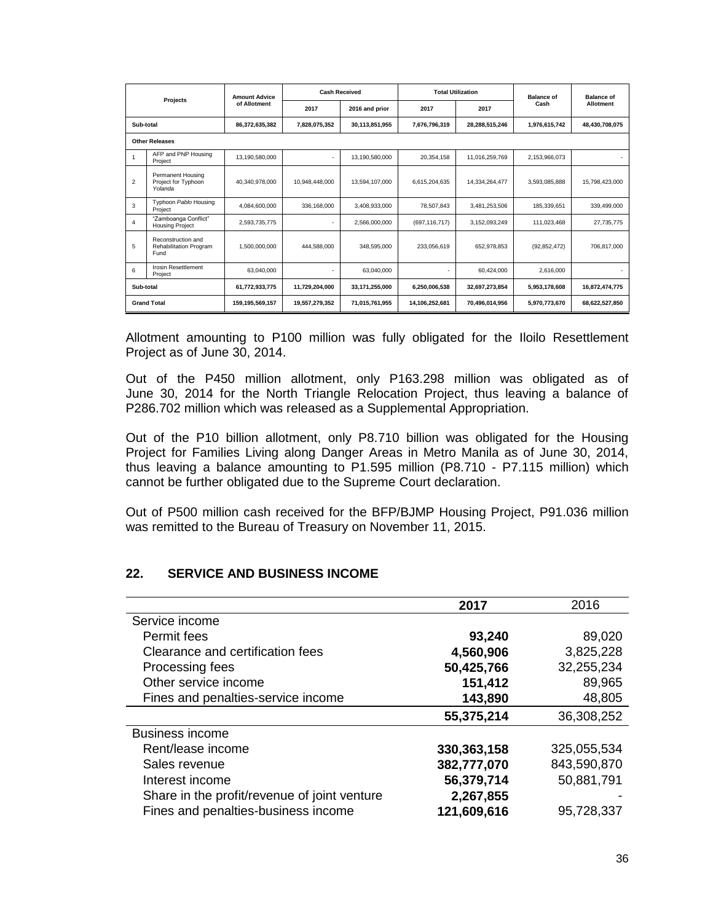| Projects       |                                                      | <b>Amount Advice</b> |                | <b>Cash Received</b> | <b>Total Utilization</b> |                | <b>Balance of</b> | <b>Balance of</b> |
|----------------|------------------------------------------------------|----------------------|----------------|----------------------|--------------------------|----------------|-------------------|-------------------|
|                |                                                      | of Allotment         | 2017           | 2016 and prior       | 2017                     | 2017           | Cash              | Allotment         |
| Sub-total      |                                                      | 86.372.635.382       | 7.828.075.352  | 30,113,851,955       | 7.676.796.319            | 28,288,515,246 | 1,976,615,742     | 48,430,708,075    |
|                | <b>Other Releases</b>                                |                      |                |                      |                          |                |                   |                   |
|                | AFP and PNP Housing<br>Project                       | 13.190.580.000       | ٠.             | 13,190,580,000       | 20.354.158               | 11,016,259,769 | 2,153,966,073     |                   |
| $\overline{2}$ | Permanent Housing<br>Project for Typhoon<br>Yolanda  | 40.340.978.000       | 10.948.448.000 | 13.594.107.000       | 6.615.204.635            | 14.334.264.477 | 3,593,085,888     | 15.798.423.000    |
| 3              | Typhoon Pablo Housing<br>Project                     | 4.084.600.000        | 336.168.000    | 3.408.933.000        | 78.507.843               | 3,481,253,506  | 185.339.651       | 339.499.000       |
| 4              | "Zamboanga Conflict"<br><b>Housing Project</b>       | 2.593.735.775        |                | 2.566.000.000        | (697.116.717)            | 3.152.093.249  | 111.023.468       | 27.735.775        |
| 5              | Reconstruction and<br>Rehabilitation Program<br>Fund | 1,500,000,000        | 444,588,000    | 348,595,000          | 233,056,619              | 652,978,853    | (92, 852, 472)    | 706.817.000       |
| 6              | Irosin Resettlement<br>Project                       | 63,040,000           |                | 63,040,000           |                          | 60,424,000     | 2,616,000         |                   |
| Sub-total      |                                                      | 61,772,933,775       | 11,729,204,000 | 33,171,255,000       | 6,250,006,538            | 32,697,273,854 | 5,953,178,608     | 16,872,474,775    |
|                | <b>Grand Total</b>                                   | 159,195,569,157      | 19,557,279,352 | 71,015,761,955       | 14,106,252,681           | 70,496,014,956 | 5,970,773,670     | 68,622,527,850    |

Allotment amounting to P100 million was fully obligated for the Iloilo Resettlement Project as of June 30, 2014.

Out of the P450 million allotment, only P163.298 million was obligated as of June 30, 2014 for the North Triangle Relocation Project, thus leaving a balance of P286.702 million which was released as a Supplemental Appropriation.

Out of the P10 billion allotment, only P8.710 billion was obligated for the Housing Project for Families Living along Danger Areas in Metro Manila as of June 30, 2014, thus leaving a balance amounting to P1.595 million (P8.710 - P7.115 million) which cannot be further obligated due to the Supreme Court declaration.

Out of P500 million cash received for the BFP/BJMP Housing Project, P91.036 million was remitted to the Bureau of Treasury on November 11, 2015.

#### **22. SERVICE AND BUSINESS INCOME**

|                                              | 2017        | 2016        |
|----------------------------------------------|-------------|-------------|
| Service income                               |             |             |
| Permit fees                                  | 93,240      | 89,020      |
| Clearance and certification fees             | 4,560,906   | 3,825,228   |
| Processing fees                              | 50,425,766  | 32,255,234  |
| Other service income                         | 151,412     | 89,965      |
| Fines and penalties-service income           | 143,890     | 48,805      |
|                                              | 55,375,214  | 36,308,252  |
| <b>Business income</b>                       |             |             |
| Rent/lease income                            | 330,363,158 | 325,055,534 |
| Sales revenue                                | 382,777,070 | 843,590,870 |
| Interest income                              | 56,379,714  | 50,881,791  |
| Share in the profit/revenue of joint venture | 2,267,855   |             |
| Fines and penalties-business income          | 121,609,616 | 95,728,337  |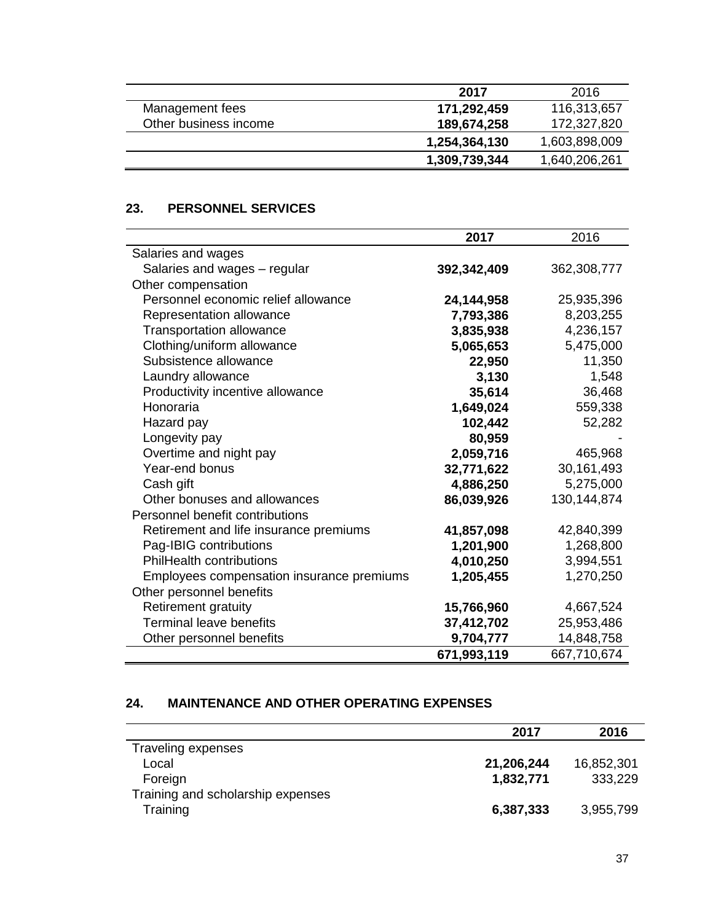|                       | 2017          | 2016          |
|-----------------------|---------------|---------------|
| Management fees       | 171,292,459   | 116,313,657   |
| Other business income | 189,674,258   | 172,327,820   |
|                       | 1,254,364,130 | 1,603,898,009 |
|                       | 1,309,739,344 | 1,640,206,261 |

# **23. PERSONNEL SERVICES**

|                                           | 2017        | 2016          |
|-------------------------------------------|-------------|---------------|
| Salaries and wages                        |             |               |
| Salaries and wages - regular              | 392,342,409 | 362,308,777   |
| Other compensation                        |             |               |
| Personnel economic relief allowance       | 24,144,958  | 25,935,396    |
| Representation allowance                  | 7,793,386   | 8,203,255     |
| <b>Transportation allowance</b>           | 3,835,938   | 4,236,157     |
| Clothing/uniform allowance                | 5,065,653   | 5,475,000     |
| Subsistence allowance                     | 22,950      | 11,350        |
| Laundry allowance                         | 3,130       | 1,548         |
| Productivity incentive allowance          | 35,614      | 36,468        |
| Honoraria                                 | 1,649,024   | 559,338       |
| Hazard pay                                | 102,442     | 52,282        |
| Longevity pay                             | 80,959      |               |
| Overtime and night pay                    | 2,059,716   | 465,968       |
| Year-end bonus                            | 32,771,622  | 30,161,493    |
| Cash gift                                 | 4,886,250   | 5,275,000     |
| Other bonuses and allowances              | 86,039,926  | 130, 144, 874 |
| Personnel benefit contributions           |             |               |
| Retirement and life insurance premiums    | 41,857,098  | 42,840,399    |
| Pag-IBIG contributions                    | 1,201,900   | 1,268,800     |
| <b>PhilHealth contributions</b>           | 4,010,250   | 3,994,551     |
| Employees compensation insurance premiums | 1,205,455   | 1,270,250     |
| Other personnel benefits                  |             |               |
| <b>Retirement gratuity</b>                | 15,766,960  | 4,667,524     |
| <b>Terminal leave benefits</b>            | 37,412,702  | 25,953,486    |
| Other personnel benefits                  | 9,704,777   | 14,848,758    |
|                                           | 671,993,119 | 667,710,674   |

# **24. MAINTENANCE AND OTHER OPERATING EXPENSES**

|                                   | 2017       | 2016       |
|-----------------------------------|------------|------------|
| Traveling expenses                |            |            |
| Local                             | 21,206,244 | 16,852,301 |
| Foreign                           | 1,832,771  | 333,229    |
| Training and scholarship expenses |            |            |
| Training                          | 6,387,333  | 3,955,799  |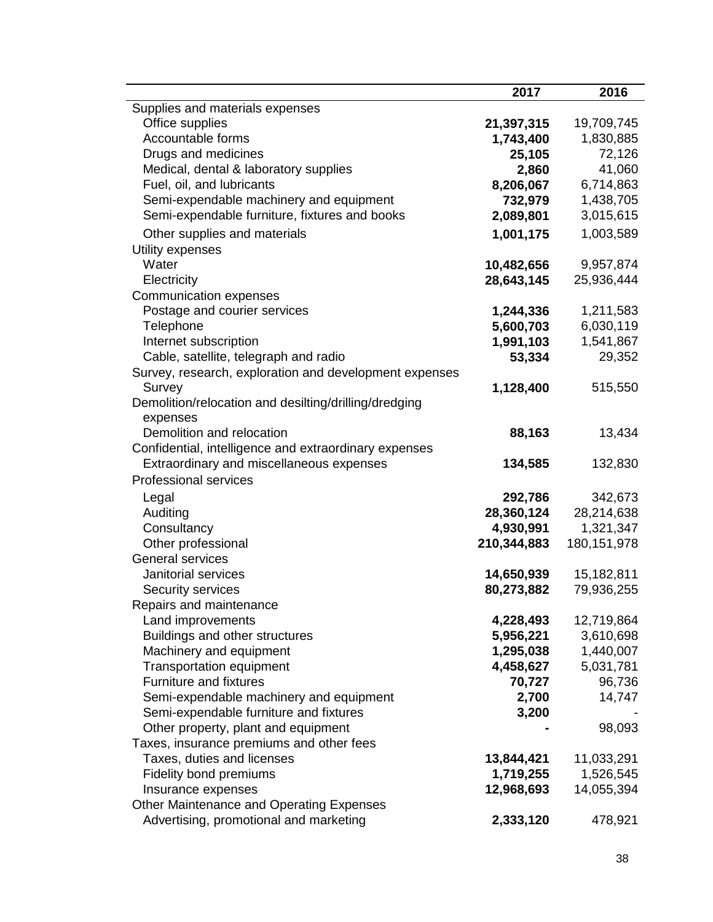|                                                        | 2017        | 2016          |
|--------------------------------------------------------|-------------|---------------|
| Supplies and materials expenses                        |             |               |
| Office supplies                                        | 21,397,315  | 19,709,745    |
| Accountable forms                                      | 1,743,400   | 1,830,885     |
| Drugs and medicines                                    | 25,105      | 72,126        |
| Medical, dental & laboratory supplies                  | 2,860       | 41,060        |
| Fuel, oil, and lubricants                              | 8,206,067   | 6,714,863     |
| Semi-expendable machinery and equipment                | 732,979     | 1,438,705     |
| Semi-expendable furniture, fixtures and books          | 2,089,801   | 3,015,615     |
| Other supplies and materials                           | 1,001,175   | 1,003,589     |
| Utility expenses                                       |             |               |
| Water                                                  | 10,482,656  | 9,957,874     |
| Electricity                                            | 28,643,145  | 25,936,444    |
| Communication expenses                                 |             |               |
| Postage and courier services                           | 1,244,336   | 1,211,583     |
| Telephone                                              | 5,600,703   | 6,030,119     |
| Internet subscription                                  | 1,991,103   | 1,541,867     |
| Cable, satellite, telegraph and radio                  | 53,334      | 29,352        |
| Survey, research, exploration and development expenses |             |               |
| Survey                                                 | 1,128,400   | 515,550       |
| Demolition/relocation and desilting/drilling/dredging  |             |               |
| expenses                                               |             |               |
| Demolition and relocation                              | 88,163      | 13,434        |
| Confidential, intelligence and extraordinary expenses  |             |               |
| Extraordinary and miscellaneous expenses               | 134,585     | 132,830       |
| <b>Professional services</b>                           |             |               |
| Legal                                                  | 292,786     | 342,673       |
| Auditing                                               | 28,360,124  | 28,214,638    |
| Consultancy                                            | 4,930,991   | 1,321,347     |
| Other professional                                     | 210,344,883 | 180, 151, 978 |
| <b>General services</b>                                |             |               |
| Janitorial services                                    | 14,650,939  | 15,182,811    |
| Security services                                      | 80,273,882  | 79,936,255    |
| Repairs and maintenance                                |             |               |
| Land improvements                                      | 4,228,493   | 12,719,864    |
| Buildings and other structures                         | 5,956,221   | 3,610,698     |
| Machinery and equipment                                | 1,295,038   | 1,440,007     |
| <b>Transportation equipment</b>                        | 4,458,627   | 5,031,781     |
| Furniture and fixtures                                 | 70,727      | 96,736        |
| Semi-expendable machinery and equipment                | 2,700       | 14,747        |
| Semi-expendable furniture and fixtures                 | 3,200       |               |
| Other property, plant and equipment                    |             | 98,093        |
| Taxes, insurance premiums and other fees               |             |               |
| Taxes, duties and licenses                             | 13,844,421  | 11,033,291    |
| Fidelity bond premiums                                 | 1,719,255   | 1,526,545     |
| Insurance expenses                                     | 12,968,693  | 14,055,394    |
| Other Maintenance and Operating Expenses               |             |               |
| Advertising, promotional and marketing                 | 2,333,120   | 478,921       |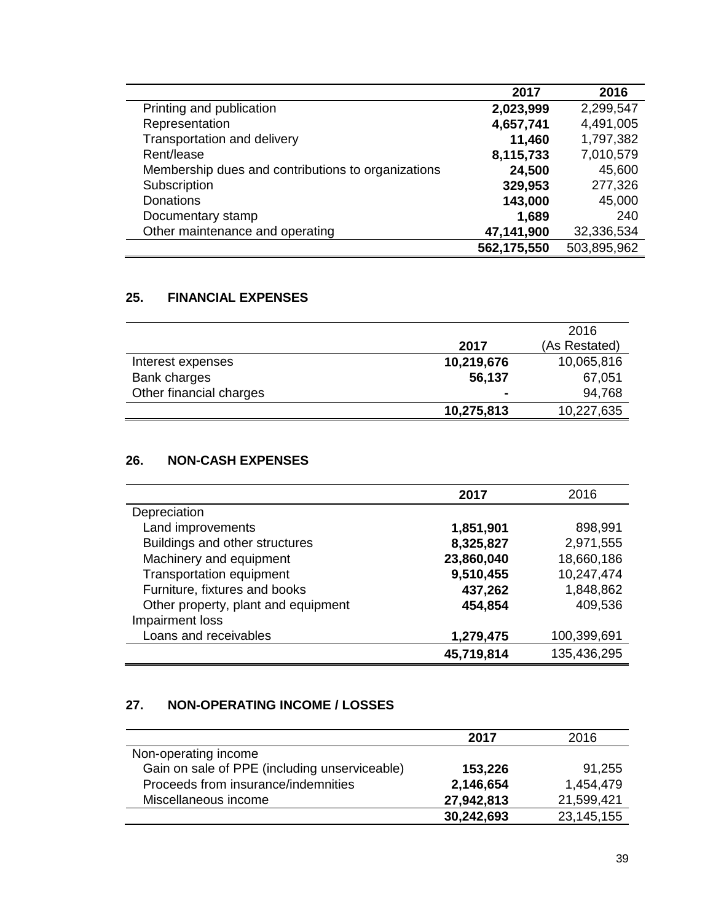|                                                    | 2017        | 2016        |
|----------------------------------------------------|-------------|-------------|
| Printing and publication                           | 2,023,999   | 2,299,547   |
| Representation                                     | 4,657,741   | 4,491,005   |
| Transportation and delivery                        | 11,460      | 1,797,382   |
| Rent/lease                                         | 8,115,733   | 7,010,579   |
| Membership dues and contributions to organizations | 24,500      | 45,600      |
| Subscription                                       | 329,953     | 277,326     |
| <b>Donations</b>                                   | 143,000     | 45,000      |
| Documentary stamp                                  | 1,689       | 240         |
| Other maintenance and operating                    | 47,141,900  | 32,336,534  |
|                                                    | 562,175,550 | 503,895,962 |

## **25. FINANCIAL EXPENSES**

|                         |                | 2016          |
|-------------------------|----------------|---------------|
|                         | 2017           | (As Restated) |
| Interest expenses       | 10,219,676     | 10,065,816    |
| Bank charges            | 56,137         | 67,051        |
| Other financial charges | $\blacksquare$ | 94,768        |
|                         | 10,275,813     | 10,227,635    |

# **26. NON-CASH EXPENSES**

|                                     | 2017       | 2016        |
|-------------------------------------|------------|-------------|
| Depreciation                        |            |             |
| Land improvements                   | 1,851,901  | 898,991     |
| Buildings and other structures      | 8,325,827  | 2,971,555   |
| Machinery and equipment             | 23,860,040 | 18,660,186  |
| <b>Transportation equipment</b>     | 9,510,455  | 10,247,474  |
| Furniture, fixtures and books       | 437,262    | 1,848,862   |
| Other property, plant and equipment | 454,854    | 409,536     |
| Impairment loss                     |            |             |
| Loans and receivables               | 1,279,475  | 100,399,691 |
|                                     | 45,719,814 | 135,436,295 |

# **27. NON-OPERATING INCOME / LOSSES**

|                                               | 2017       | 2016       |
|-----------------------------------------------|------------|------------|
| Non-operating income                          |            |            |
| Gain on sale of PPE (including unserviceable) | 153,226    | 91,255     |
| Proceeds from insurance/indemnities           | 2,146,654  | 1.454.479  |
| Miscellaneous income                          | 27,942,813 | 21,599,421 |
|                                               | 30,242,693 | 23,145,155 |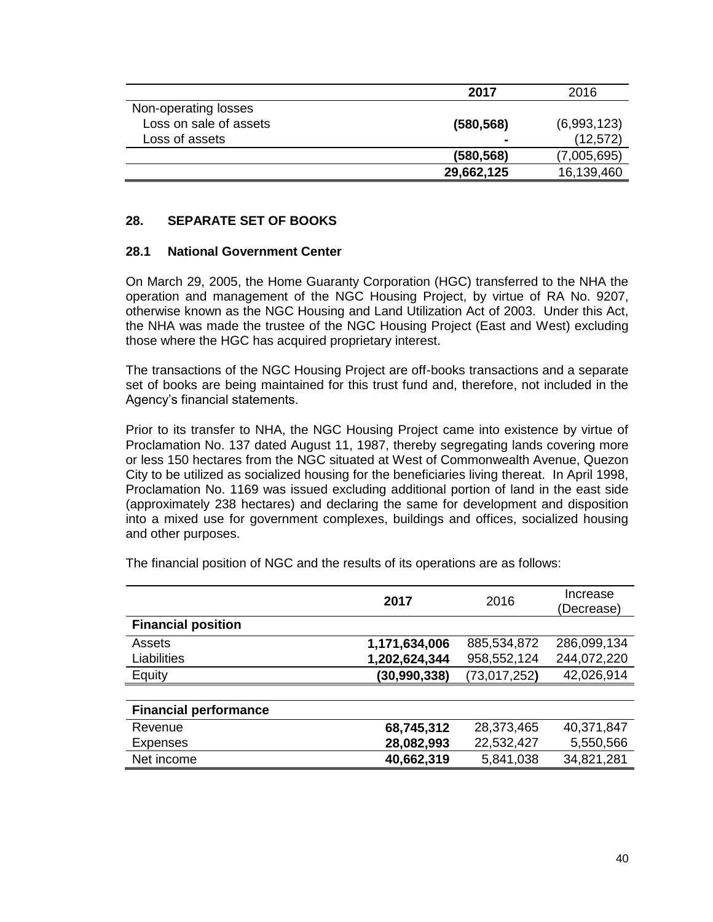|                        | 2017           | 2016        |
|------------------------|----------------|-------------|
| Non-operating losses   |                |             |
| Loss on sale of assets | (580, 568)     | (6,993,123) |
| Loss of assets         | $\blacksquare$ | (12, 572)   |
|                        | (580, 568)     | (7,005,695) |
|                        | 29,662,125     | 16,139,460  |

### **28. SEPARATE SET OF BOOKS**

#### **28.1 National Government Center**

On March 29, 2005, the Home Guaranty Corporation (HGC) transferred to the NHA the operation and management of the NGC Housing Project, by virtue of RA No. 9207, otherwise known as the NGC Housing and Land Utilization Act of 2003. Under this Act, the NHA was made the trustee of the NGC Housing Project (East and West) excluding those where the HGC has acquired proprietary interest.

The transactions of the NGC Housing Project are off-books transactions and a separate set of books are being maintained for this trust fund and, therefore, not included in the Agency's financial statements.

Prior to its transfer to NHA, the NGC Housing Project came into existence by virtue of Proclamation No. 137 dated August 11, 1987, thereby segregating lands covering more or less 150 hectares from the NGC situated at West of Commonwealth Avenue, Quezon City to be utilized as socialized housing for the beneficiaries living thereat. In April 1998, Proclamation No. 1169 was issued excluding additional portion of land in the east side (approximately 238 hectares) and declaring the same for development and disposition into a mixed use for government complexes, buildings and offices, socialized housing and other purposes.

|                              | 2017           | 2016         | Increase<br>(Decrease) |
|------------------------------|----------------|--------------|------------------------|
| <b>Financial position</b>    |                |              |                        |
| Assets                       | 1,171,634,006  | 885,534,872  | 286,099,134            |
| Liabilities                  | 1,202,624,344  | 958,552,124  | 244,072,220            |
| Equity                       | (30, 990, 338) | (73,017,252) | 42,026,914             |
|                              |                |              |                        |
| <b>Financial performance</b> |                |              |                        |
| Revenue                      | 68,745,312     | 28,373,465   | 40,371,847             |
| <b>Expenses</b>              | 28,082,993     | 22,532,427   | 5,550,566              |
| Net income                   | 40,662,319     | 5,841,038    | 34,821,281             |

The financial position of NGC and the results of its operations are as follows: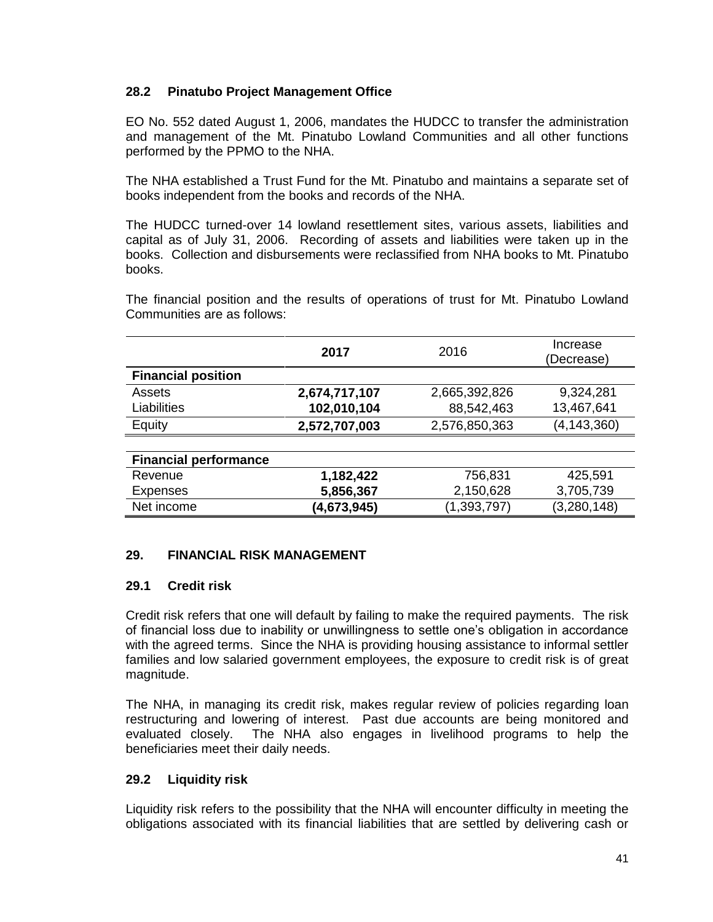# **28.2 Pinatubo Project Management Office**

EO No. 552 dated August 1, 2006, mandates the HUDCC to transfer the administration and management of the Mt. Pinatubo Lowland Communities and all other functions performed by the PPMO to the NHA.

The NHA established a Trust Fund for the Mt. Pinatubo and maintains a separate set of books independent from the books and records of the NHA.

The HUDCC turned-over 14 lowland resettlement sites, various assets, liabilities and capital as of July 31, 2006. Recording of assets and liabilities were taken up in the books. Collection and disbursements were reclassified from NHA books to Mt. Pinatubo books.

The financial position and the results of operations of trust for Mt. Pinatubo Lowland Communities are as follows:

|                              | 2017          | 2016          | Increase<br>(Decrease) |
|------------------------------|---------------|---------------|------------------------|
| <b>Financial position</b>    |               |               |                        |
| Assets                       | 2,674,717,107 | 2,665,392,826 | 9,324,281              |
| Liabilities                  | 102,010,104   | 88,542,463    | 13,467,641             |
| Equity                       | 2,572,707,003 | 2,576,850,363 | (4, 143, 360)          |
|                              |               |               |                        |
| <b>Financial performance</b> |               |               |                        |
| Revenue                      | 1,182,422     | 756,831       | 425,591                |
| <b>Expenses</b>              | 5,856,367     | 2,150,628     | 3,705,739              |
| Net income                   | (4,673,945)   | (1, 393, 797) | (3,280,148)            |

### **29. FINANCIAL RISK MANAGEMENT**

### **29.1 Credit risk**

Credit risk refers that one will default by failing to make the required payments. The risk of financial loss due to inability or unwillingness to settle one's obligation in accordance with the agreed terms. Since the NHA is providing housing assistance to informal settler families and low salaried government employees, the exposure to credit risk is of great magnitude.

The NHA, in managing its credit risk, makes regular review of policies regarding loan restructuring and lowering of interest. Past due accounts are being monitored and evaluated closely. The NHA also engages in livelihood programs to help the beneficiaries meet their daily needs.

### **29.2 Liquidity risk**

Liquidity risk refers to the possibility that the NHA will encounter difficulty in meeting the obligations associated with its financial liabilities that are settled by delivering cash or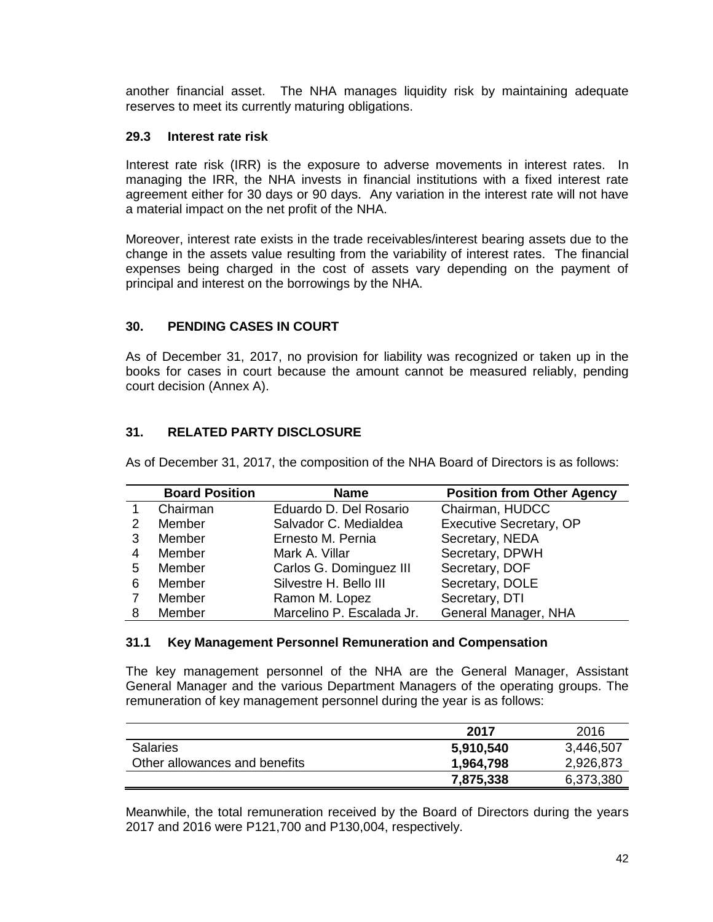another financial asset. The NHA manages liquidity risk by maintaining adequate reserves to meet its currently maturing obligations.

### **29.3 Interest rate risk**

Interest rate risk (IRR) is the exposure to adverse movements in interest rates. In managing the IRR, the NHA invests in financial institutions with a fixed interest rate agreement either for 30 days or 90 days. Any variation in the interest rate will not have a material impact on the net profit of the NHA.

Moreover, interest rate exists in the trade receivables/interest bearing assets due to the change in the assets value resulting from the variability of interest rates. The financial expenses being charged in the cost of assets vary depending on the payment of principal and interest on the borrowings by the NHA.

### **30. PENDING CASES IN COURT**

As of December 31, 2017, no provision for liability was recognized or taken up in the books for cases in court because the amount cannot be measured reliably, pending court decision (Annex A).

# **31. RELATED PARTY DISCLOSURE**

As of December 31, 2017, the composition of the NHA Board of Directors is as follows:

|   | <b>Board Position</b> | <b>Name</b>               | <b>Position from Other Agency</b> |
|---|-----------------------|---------------------------|-----------------------------------|
|   | Chairman              | Eduardo D. Del Rosario    | Chairman, HUDCC                   |
| 2 | Member                | Salvador C. Medialdea     | Executive Secretary, OP           |
| 3 | Member                | Ernesto M. Pernia         | Secretary, NEDA                   |
| 4 | Member                | Mark A. Villar            | Secretary, DPWH                   |
| 5 | Member                | Carlos G. Dominguez III   | Secretary, DOF                    |
| 6 | Member                | Silvestre H. Bello III    | Secretary, DOLE                   |
|   | Member                | Ramon M. Lopez            | Secretary, DTI                    |
| 8 | Member                | Marcelino P. Escalada Jr. | General Manager, NHA              |

#### **31.1 Key Management Personnel Remuneration and Compensation**

The key management personnel of the NHA are the General Manager, Assistant General Manager and the various Department Managers of the operating groups. The remuneration of key management personnel during the year is as follows:

|                               | 2017      | 2016      |
|-------------------------------|-----------|-----------|
| <b>Salaries</b>               | 5,910,540 | 3,446,507 |
| Other allowances and benefits | 1,964,798 | 2,926,873 |
|                               | 7,875,338 | 6,373,380 |

Meanwhile, the total remuneration received by the Board of Directors during the years 2017 and 2016 were P121,700 and P130,004, respectively.